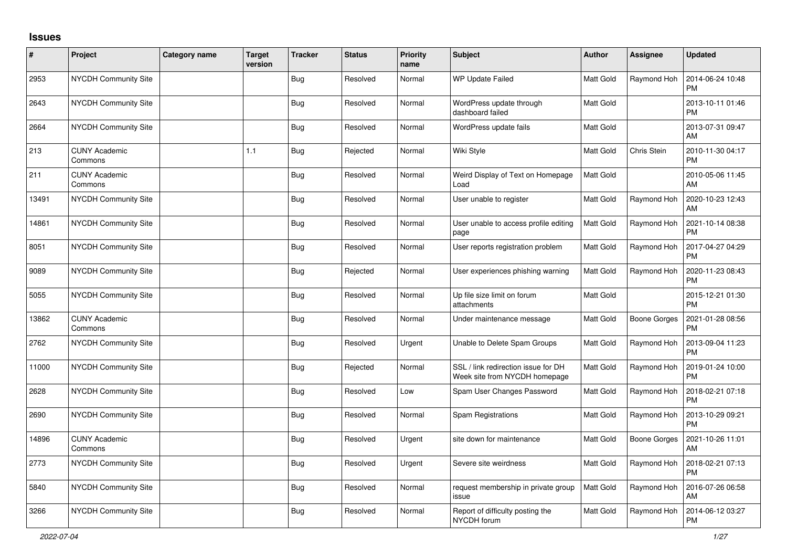## **Issues**

| $\pmb{\#}$ | Project                         | <b>Category name</b> | <b>Target</b><br>version | <b>Tracker</b> | <b>Status</b> | Priority<br>name | <b>Subject</b>                                                       | Author           | <b>Assignee</b>     | <b>Updated</b>                |
|------------|---------------------------------|----------------------|--------------------------|----------------|---------------|------------------|----------------------------------------------------------------------|------------------|---------------------|-------------------------------|
| 2953       | <b>NYCDH Community Site</b>     |                      |                          | Bug            | Resolved      | Normal           | <b>WP Update Failed</b>                                              | Matt Gold        | Raymond Hoh         | 2014-06-24 10:48<br><b>PM</b> |
| 2643       | <b>NYCDH Community Site</b>     |                      |                          | <b>Bug</b>     | Resolved      | Normal           | WordPress update through<br>dashboard failed                         | <b>Matt Gold</b> |                     | 2013-10-11 01:46<br><b>PM</b> |
| 2664       | <b>NYCDH Community Site</b>     |                      |                          | <b>Bug</b>     | Resolved      | Normal           | WordPress update fails                                               | Matt Gold        |                     | 2013-07-31 09:47<br>AM        |
| 213        | <b>CUNY Academic</b><br>Commons |                      | 1.1                      | <b>Bug</b>     | Rejected      | Normal           | Wiki Style                                                           | Matt Gold        | Chris Stein         | 2010-11-30 04:17<br><b>PM</b> |
| 211        | <b>CUNY Academic</b><br>Commons |                      |                          | <b>Bug</b>     | Resolved      | Normal           | Weird Display of Text on Homepage<br>Load                            | Matt Gold        |                     | 2010-05-06 11:45<br><b>AM</b> |
| 13491      | <b>NYCDH Community Site</b>     |                      |                          | Bug            | Resolved      | Normal           | User unable to register                                              | Matt Gold        | Raymond Hoh         | 2020-10-23 12:43<br>AM        |
| 14861      | NYCDH Community Site            |                      |                          | <b>Bug</b>     | Resolved      | Normal           | User unable to access profile editing<br>page                        | Matt Gold        | Raymond Hoh         | 2021-10-14 08:38<br><b>PM</b> |
| 8051       | <b>NYCDH Community Site</b>     |                      |                          | <b>Bug</b>     | Resolved      | Normal           | User reports registration problem                                    | Matt Gold        | Raymond Hoh         | 2017-04-27 04:29<br><b>PM</b> |
| 9089       | <b>NYCDH Community Site</b>     |                      |                          | <b>Bug</b>     | Rejected      | Normal           | User experiences phishing warning                                    | Matt Gold        | Raymond Hoh         | 2020-11-23 08:43<br><b>PM</b> |
| 5055       | NYCDH Community Site            |                      |                          | <b>Bug</b>     | Resolved      | Normal           | Up file size limit on forum<br>attachments                           | Matt Gold        |                     | 2015-12-21 01:30<br><b>PM</b> |
| 13862      | <b>CUNY Academic</b><br>Commons |                      |                          | <b>Bug</b>     | Resolved      | Normal           | Under maintenance message                                            | Matt Gold        | <b>Boone Gorges</b> | 2021-01-28 08:56<br><b>PM</b> |
| 2762       | <b>NYCDH Community Site</b>     |                      |                          | <b>Bug</b>     | Resolved      | Urgent           | Unable to Delete Spam Groups                                         | Matt Gold        | Raymond Hoh         | 2013-09-04 11:23<br><b>PM</b> |
| 11000      | <b>NYCDH Community Site</b>     |                      |                          | Bug            | Rejected      | Normal           | SSL / link redirection issue for DH<br>Week site from NYCDH homepage | Matt Gold        | Raymond Hoh         | 2019-01-24 10:00<br><b>PM</b> |
| 2628       | <b>NYCDH Community Site</b>     |                      |                          | <b>Bug</b>     | Resolved      | Low              | Spam User Changes Password                                           | Matt Gold        | Raymond Hoh         | 2018-02-21 07:18<br><b>PM</b> |
| 2690       | NYCDH Community Site            |                      |                          | Bug            | Resolved      | Normal           | Spam Registrations                                                   | Matt Gold        | Raymond Hoh         | 2013-10-29 09:21<br><b>PM</b> |
| 14896      | <b>CUNY Academic</b><br>Commons |                      |                          | <b>Bug</b>     | Resolved      | Urgent           | site down for maintenance                                            | Matt Gold        | Boone Gorges        | 2021-10-26 11:01<br>AM        |
| 2773       | NYCDH Community Site            |                      |                          | <b>Bug</b>     | Resolved      | Urgent           | Severe site weirdness                                                | Matt Gold        | Raymond Hoh         | 2018-02-21 07:13<br><b>PM</b> |
| 5840       | <b>NYCDH Community Site</b>     |                      |                          | Bug            | Resolved      | Normal           | request membership in private group<br>issue                         | Matt Gold        | Raymond Hoh         | 2016-07-26 06:58<br>AM        |
| 3266       | <b>NYCDH Community Site</b>     |                      |                          | <b>Bug</b>     | Resolved      | Normal           | Report of difficulty posting the<br>NYCDH forum                      | Matt Gold        | Raymond Hoh         | 2014-06-12 03:27<br><b>PM</b> |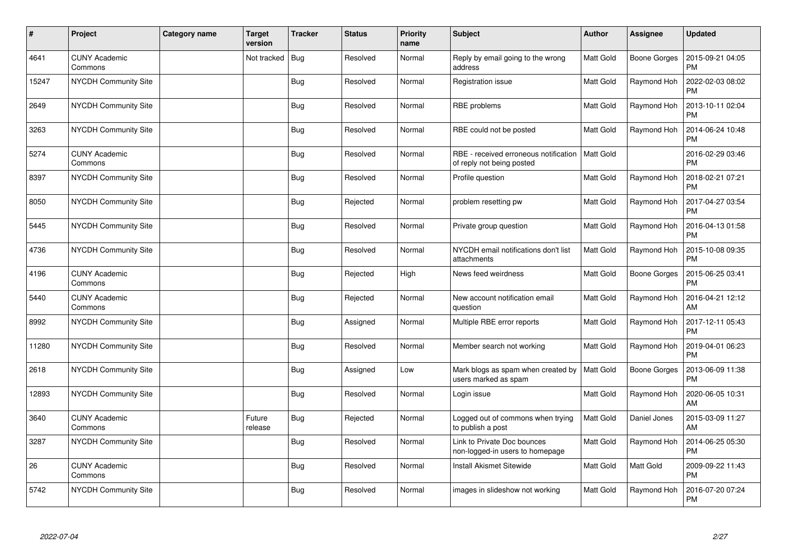| $\vert$ # | Project                         | <b>Category name</b> | <b>Target</b><br>version | <b>Tracker</b> | <b>Status</b> | <b>Priority</b><br>name | <b>Subject</b>                                                     | <b>Author</b>    | Assignee     | <b>Updated</b>                |
|-----------|---------------------------------|----------------------|--------------------------|----------------|---------------|-------------------------|--------------------------------------------------------------------|------------------|--------------|-------------------------------|
| 4641      | <b>CUNY Academic</b><br>Commons |                      | Not tracked              | Bug            | Resolved      | Normal                  | Reply by email going to the wrong<br>address                       | Matt Gold        | Boone Gorges | 2015-09-21 04:05<br><b>PM</b> |
| 15247     | NYCDH Community Site            |                      |                          | <b>Bug</b>     | Resolved      | Normal                  | Registration issue                                                 | <b>Matt Gold</b> | Raymond Hoh  | 2022-02-03 08:02<br><b>PM</b> |
| 2649      | NYCDH Community Site            |                      |                          | <b>Bug</b>     | Resolved      | Normal                  | RBE problems                                                       | Matt Gold        | Raymond Hoh  | 2013-10-11 02:04<br><b>PM</b> |
| 3263      | NYCDH Community Site            |                      |                          | <b>Bug</b>     | Resolved      | Normal                  | RBE could not be posted                                            | Matt Gold        | Raymond Hoh  | 2014-06-24 10:48<br><b>PM</b> |
| 5274      | <b>CUNY Academic</b><br>Commons |                      |                          | <b>Bug</b>     | Resolved      | Normal                  | RBE - received erroneous notification<br>of reply not being posted | Matt Gold        |              | 2016-02-29 03:46<br><b>PM</b> |
| 8397      | <b>NYCDH Community Site</b>     |                      |                          | <b>Bug</b>     | Resolved      | Normal                  | Profile question                                                   | <b>Matt Gold</b> | Raymond Hoh  | 2018-02-21 07:21<br><b>PM</b> |
| 8050      | <b>NYCDH Community Site</b>     |                      |                          | <b>Bug</b>     | Rejected      | Normal                  | problem resetting pw                                               | Matt Gold        | Raymond Hoh  | 2017-04-27 03:54<br><b>PM</b> |
| 5445      | <b>NYCDH Community Site</b>     |                      |                          | <b>Bug</b>     | Resolved      | Normal                  | Private group question                                             | Matt Gold        | Raymond Hoh  | 2016-04-13 01:58<br><b>PM</b> |
| 4736      | <b>NYCDH Community Site</b>     |                      |                          | <b>Bug</b>     | Resolved      | Normal                  | NYCDH email notifications don't list<br>attachments                | <b>Matt Gold</b> | Raymond Hoh  | 2015-10-08 09:35<br><b>PM</b> |
| 4196      | <b>CUNY Academic</b><br>Commons |                      |                          | <b>Bug</b>     | Rejected      | High                    | News feed weirdness                                                | Matt Gold        | Boone Gorges | 2015-06-25 03:41<br><b>PM</b> |
| 5440      | <b>CUNY Academic</b><br>Commons |                      |                          | <b>Bug</b>     | Rejected      | Normal                  | New account notification email<br>question                         | Matt Gold        | Raymond Hoh  | 2016-04-21 12:12<br>AM        |
| 8992      | <b>NYCDH Community Site</b>     |                      |                          | <b>Bug</b>     | Assigned      | Normal                  | Multiple RBE error reports                                         | Matt Gold        | Raymond Hoh  | 2017-12-11 05:43<br><b>PM</b> |
| 11280     | NYCDH Community Site            |                      |                          | <b>Bug</b>     | Resolved      | Normal                  | Member search not working                                          | <b>Matt Gold</b> | Raymond Hoh  | 2019-04-01 06:23<br><b>PM</b> |
| 2618      | NYCDH Community Site            |                      |                          | <b>Bug</b>     | Assigned      | Low                     | Mark blogs as spam when created by<br>users marked as spam         | <b>Matt Gold</b> | Boone Gorges | 2013-06-09 11:38<br><b>PM</b> |
| 12893     | NYCDH Community Site            |                      |                          | Bug            | Resolved      | Normal                  | Login issue                                                        | <b>Matt Gold</b> | Raymond Hoh  | 2020-06-05 10:31<br>AM        |
| 3640      | <b>CUNY Academic</b><br>Commons |                      | Future<br>release        | <b>Bug</b>     | Rejected      | Normal                  | Logged out of commons when trying<br>to publish a post             | Matt Gold        | Daniel Jones | 2015-03-09 11:27<br>AM        |
| 3287      | NYCDH Community Site            |                      |                          | <b>Bug</b>     | Resolved      | Normal                  | Link to Private Doc bounces<br>non-logged-in users to homepage     | <b>Matt Gold</b> | Raymond Hoh  | 2014-06-25 05:30<br><b>PM</b> |
| 26        | <b>CUNY Academic</b><br>Commons |                      |                          | <b>Bug</b>     | Resolved      | Normal                  | <b>Install Akismet Sitewide</b>                                    | Matt Gold        | Matt Gold    | 2009-09-22 11:43<br><b>PM</b> |
| 5742      | <b>NYCDH Community Site</b>     |                      |                          | <b>Bug</b>     | Resolved      | Normal                  | images in slideshow not working                                    | Matt Gold        | Raymond Hoh  | 2016-07-20 07:24<br><b>PM</b> |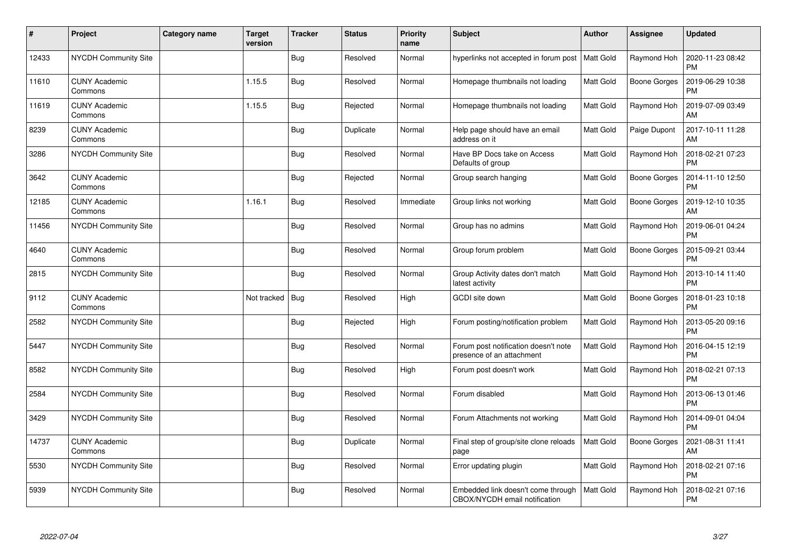| $\sharp$ | Project                         | <b>Category name</b> | <b>Target</b><br>version | <b>Tracker</b> | <b>Status</b> | <b>Priority</b><br>name | <b>Subject</b>                                                      | <b>Author</b>    | Assignee            | <b>Updated</b>                |
|----------|---------------------------------|----------------------|--------------------------|----------------|---------------|-------------------------|---------------------------------------------------------------------|------------------|---------------------|-------------------------------|
| 12433    | NYCDH Community Site            |                      |                          | <b>Bug</b>     | Resolved      | Normal                  | hyperlinks not accepted in forum post                               | <b>Matt Gold</b> | Raymond Hoh         | 2020-11-23 08:42<br><b>PM</b> |
| 11610    | <b>CUNY Academic</b><br>Commons |                      | 1.15.5                   | <b>Bug</b>     | Resolved      | Normal                  | Homepage thumbnails not loading                                     | Matt Gold        | Boone Gorges        | 2019-06-29 10:38<br><b>PM</b> |
| 11619    | <b>CUNY Academic</b><br>Commons |                      | 1.15.5                   | <b>Bug</b>     | Rejected      | Normal                  | Homepage thumbnails not loading                                     | Matt Gold        | Raymond Hoh         | 2019-07-09 03:49<br>AM        |
| 8239     | <b>CUNY Academic</b><br>Commons |                      |                          | <b>Bug</b>     | Duplicate     | Normal                  | Help page should have an email<br>address on it                     | Matt Gold        | Paige Dupont        | 2017-10-11 11:28<br>AM        |
| 3286     | NYCDH Community Site            |                      |                          | <b>Bug</b>     | Resolved      | Normal                  | Have BP Docs take on Access<br>Defaults of group                    | Matt Gold        | Raymond Hoh         | 2018-02-21 07:23<br><b>PM</b> |
| 3642     | <b>CUNY Academic</b><br>Commons |                      |                          | <b>Bug</b>     | Rejected      | Normal                  | Group search hanging                                                | Matt Gold        | Boone Gorges        | 2014-11-10 12:50<br><b>PM</b> |
| 12185    | <b>CUNY Academic</b><br>Commons |                      | 1.16.1                   | <b>Bug</b>     | Resolved      | Immediate               | Group links not working                                             | Matt Gold        | <b>Boone Gorges</b> | 2019-12-10 10:35<br>AM        |
| 11456    | <b>NYCDH Community Site</b>     |                      |                          | <b>Bug</b>     | Resolved      | Normal                  | Group has no admins                                                 | Matt Gold        | Raymond Hoh         | 2019-06-01 04:24<br><b>PM</b> |
| 4640     | <b>CUNY Academic</b><br>Commons |                      |                          | <b>Bug</b>     | Resolved      | Normal                  | Group forum problem                                                 | Matt Gold        | <b>Boone Gorges</b> | 2015-09-21 03:44<br><b>PM</b> |
| 2815     | <b>NYCDH Community Site</b>     |                      |                          | <b>Bug</b>     | Resolved      | Normal                  | Group Activity dates don't match<br>latest activity                 | Matt Gold        | Raymond Hoh         | 2013-10-14 11:40<br><b>PM</b> |
| 9112     | <b>CUNY Academic</b><br>Commons |                      | Not tracked              | <b>Bug</b>     | Resolved      | High                    | GCDI site down                                                      | Matt Gold        | <b>Boone Gorges</b> | 2018-01-23 10:18<br><b>PM</b> |
| 2582     | <b>NYCDH Community Site</b>     |                      |                          | <b>Bug</b>     | Rejected      | High                    | Forum posting/notification problem                                  | Matt Gold        | Raymond Hoh         | 2013-05-20 09:16<br><b>PM</b> |
| 5447     | NYCDH Community Site            |                      |                          | <b>Bug</b>     | Resolved      | Normal                  | Forum post notification doesn't note<br>presence of an attachment   | Matt Gold        | Raymond Hoh         | 2016-04-15 12:19<br><b>PM</b> |
| 8582     | NYCDH Community Site            |                      |                          | Bug            | Resolved      | High                    | Forum post doesn't work                                             | Matt Gold        | Raymond Hoh         | 2018-02-21 07:13<br><b>PM</b> |
| 2584     | NYCDH Community Site            |                      |                          | <b>Bug</b>     | Resolved      | Normal                  | Forum disabled                                                      | <b>Matt Gold</b> | Raymond Hoh         | 2013-06-13 01:46<br><b>PM</b> |
| 3429     | <b>NYCDH Community Site</b>     |                      |                          | <b>Bug</b>     | Resolved      | Normal                  | Forum Attachments not working                                       | Matt Gold        | Raymond Hoh         | 2014-09-01 04:04<br><b>PM</b> |
| 14737    | <b>CUNY Academic</b><br>Commons |                      |                          | <b>Bug</b>     | Duplicate     | Normal                  | Final step of group/site clone reloads<br>page                      | <b>Matt Gold</b> | Boone Gorges        | 2021-08-31 11:41<br><b>AM</b> |
| 5530     | <b>NYCDH Community Site</b>     |                      |                          | <b>Bug</b>     | Resolved      | Normal                  | Error updating plugin                                               | Matt Gold        | Raymond Hoh         | 2018-02-21 07:16<br><b>PM</b> |
| 5939     | <b>NYCDH Community Site</b>     |                      |                          | <b>Bug</b>     | Resolved      | Normal                  | Embedded link doesn't come through<br>CBOX/NYCDH email notification | Matt Gold        | Raymond Hoh         | 2018-02-21 07:16<br><b>PM</b> |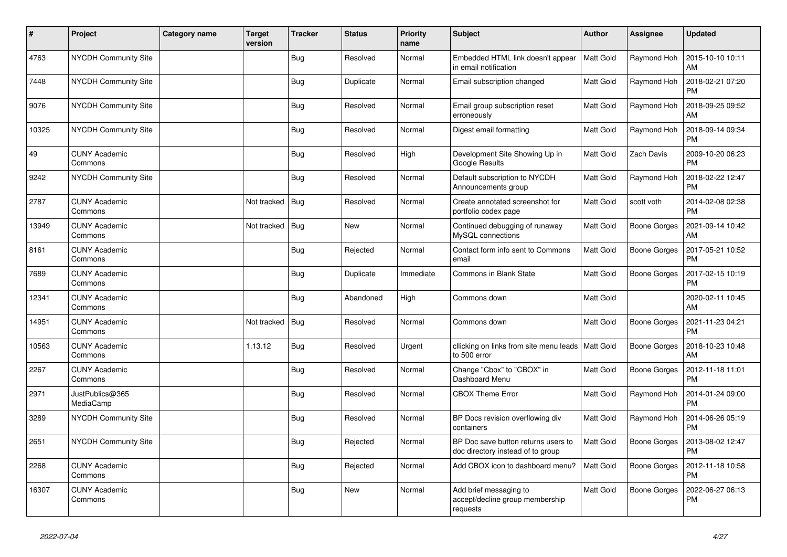| $\sharp$ | Project                         | <b>Category name</b> | Target<br>version | <b>Tracker</b> | <b>Status</b> | <b>Priority</b><br>name | <b>Subject</b>                                                           | <b>Author</b>    | Assignee     | <b>Updated</b>                |
|----------|---------------------------------|----------------------|-------------------|----------------|---------------|-------------------------|--------------------------------------------------------------------------|------------------|--------------|-------------------------------|
| 4763     | NYCDH Community Site            |                      |                   | <b>Bug</b>     | Resolved      | Normal                  | Embedded HTML link doesn't appear<br>in email notification               | <b>Matt Gold</b> | Raymond Hoh  | 2015-10-10 10:11<br>AM        |
| 7448     | <b>NYCDH Community Site</b>     |                      |                   | Bug            | Duplicate     | Normal                  | Email subscription changed                                               | <b>Matt Gold</b> | Raymond Hoh  | 2018-02-21 07:20<br><b>PM</b> |
| 9076     | <b>NYCDH Community Site</b>     |                      |                   | <b>Bug</b>     | Resolved      | Normal                  | Email group subscription reset<br>erroneously                            | Matt Gold        | Raymond Hoh  | 2018-09-25 09:52<br>AM        |
| 10325    | <b>NYCDH Community Site</b>     |                      |                   | <b>Bug</b>     | Resolved      | Normal                  | Digest email formatting                                                  | <b>Matt Gold</b> | Raymond Hoh  | 2018-09-14 09:34<br><b>PM</b> |
| 49       | <b>CUNY Academic</b><br>Commons |                      |                   | Bug            | Resolved      | High                    | Development Site Showing Up in<br>Google Results                         | Matt Gold        | Zach Davis   | 2009-10-20 06:23<br><b>PM</b> |
| 9242     | <b>NYCDH Community Site</b>     |                      |                   | Bug            | Resolved      | Normal                  | Default subscription to NYCDH<br>Announcements group                     | <b>Matt Gold</b> | Raymond Hoh  | 2018-02-22 12:47<br><b>PM</b> |
| 2787     | <b>CUNY Academic</b><br>Commons |                      | Not tracked       | Bug            | Resolved      | Normal                  | Create annotated screenshot for<br>portfolio codex page                  | <b>Matt Gold</b> | scott voth   | 2014-02-08 02:38<br><b>PM</b> |
| 13949    | <b>CUNY Academic</b><br>Commons |                      | Not tracked       | Bug            | <b>New</b>    | Normal                  | Continued debugging of runaway<br>MySQL connections                      | Matt Gold        | Boone Gorges | 2021-09-14 10:42<br>AM        |
| 8161     | <b>CUNY Academic</b><br>Commons |                      |                   | <b>Bug</b>     | Rejected      | Normal                  | Contact form info sent to Commons<br>email                               | <b>Matt Gold</b> | Boone Gorges | 2017-05-21 10:52<br><b>PM</b> |
| 7689     | <b>CUNY Academic</b><br>Commons |                      |                   | <b>Bug</b>     | Duplicate     | Immediate               | Commons in Blank State                                                   | <b>Matt Gold</b> | Boone Gorges | 2017-02-15 10:19<br><b>PM</b> |
| 12341    | <b>CUNY Academic</b><br>Commons |                      |                   | <b>Bug</b>     | Abandoned     | High                    | Commons down                                                             | Matt Gold        |              | 2020-02-11 10:45<br>AM        |
| 14951    | <b>CUNY Academic</b><br>Commons |                      | Not tracked       | Bug            | Resolved      | Normal                  | Commons down                                                             | <b>Matt Gold</b> | Boone Gorges | 2021-11-23 04:21<br><b>PM</b> |
| 10563    | <b>CUNY Academic</b><br>Commons |                      | 1.13.12           | <b>Bug</b>     | Resolved      | Urgent                  | cllicking on links from site menu leads   Matt Gold<br>to 500 error      |                  | Boone Gorges | 2018-10-23 10:48<br>AM        |
| 2267     | <b>CUNY Academic</b><br>Commons |                      |                   | <b>Bug</b>     | Resolved      | Normal                  | Change "Cbox" to "CBOX" in<br>Dashboard Menu                             | <b>Matt Gold</b> | Boone Gorges | 2012-11-18 11:01<br><b>PM</b> |
| 2971     | JustPublics@365<br>MediaCamp    |                      |                   | Bug            | Resolved      | Normal                  | <b>CBOX Theme Error</b>                                                  | <b>Matt Gold</b> | Raymond Hoh  | 2014-01-24 09:00<br><b>PM</b> |
| 3289     | <b>NYCDH Community Site</b>     |                      |                   | <b>Bug</b>     | Resolved      | Normal                  | BP Docs revision overflowing div<br>containers                           | <b>Matt Gold</b> | Raymond Hoh  | 2014-06-26 05:19<br><b>PM</b> |
| 2651     | NYCDH Community Site            |                      |                   | Bug            | Rejected      | Normal                  | BP Doc save button returns users to<br>doc directory instead of to group | Matt Gold        | Boone Gorges | 2013-08-02 12:47<br><b>PM</b> |
| 2268     | <b>CUNY Academic</b><br>Commons |                      |                   | <b>Bug</b>     | Rejected      | Normal                  | Add CBOX icon to dashboard menu?                                         | <b>Matt Gold</b> | Boone Gorges | 2012-11-18 10:58<br><b>PM</b> |
| 16307    | <b>CUNY Academic</b><br>Commons |                      |                   | Bug            | <b>New</b>    | Normal                  | Add brief messaging to<br>accept/decline group membership<br>requests    | <b>Matt Gold</b> | Boone Gorges | 2022-06-27 06:13<br><b>PM</b> |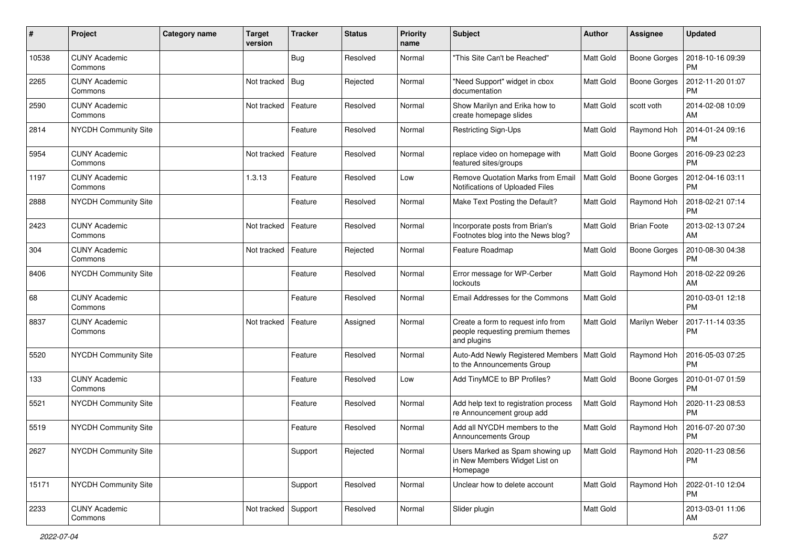| #     | Project                         | Category name | <b>Target</b><br>version | <b>Tracker</b> | <b>Status</b> | <b>Priority</b><br>name | <b>Subject</b>                                                                        | <b>Author</b>    | Assignee            | <b>Updated</b>                       |
|-------|---------------------------------|---------------|--------------------------|----------------|---------------|-------------------------|---------------------------------------------------------------------------------------|------------------|---------------------|--------------------------------------|
| 10538 | <b>CUNY Academic</b><br>Commons |               |                          | Bug            | Resolved      | Normal                  | "This Site Can't be Reached"                                                          | Matt Gold        | Boone Gorges        | 2018-10-16 09:39<br><b>PM</b>        |
| 2265  | <b>CUNY Academic</b><br>Commons |               | Not tracked              | <b>Bug</b>     | Rejected      | Normal                  | "Need Support" widget in cbox<br>documentation                                        | Matt Gold        | Boone Gorges        | 2012-11-20 01:07<br><b>PM</b>        |
| 2590  | <b>CUNY Academic</b><br>Commons |               | Not tracked              | Feature        | Resolved      | Normal                  | Show Marilyn and Erika how to<br>create homepage slides                               | <b>Matt Gold</b> | scott voth          | 2014-02-08 10:09<br>AM               |
| 2814  | <b>NYCDH Community Site</b>     |               |                          | Feature        | Resolved      | Normal                  | Restricting Sign-Ups                                                                  | <b>Matt Gold</b> | Raymond Hoh         | 2014-01-24 09:16<br><b>PM</b>        |
| 5954  | <b>CUNY Academic</b><br>Commons |               | Not tracked              | Feature        | Resolved      | Normal                  | replace video on homepage with<br>featured sites/groups                               | Matt Gold        | <b>Boone Gorges</b> | 2016-09-23 02:23<br>PM               |
| 1197  | <b>CUNY Academic</b><br>Commons |               | 1.3.13                   | Feature        | Resolved      | Low                     | Remove Quotation Marks from Email<br>Notifications of Uploaded Files                  | Matt Gold        | Boone Gorges        | 2012-04-16 03:11<br><b>PM</b>        |
| 2888  | NYCDH Community Site            |               |                          | Feature        | Resolved      | Normal                  | Make Text Posting the Default?                                                        | Matt Gold        | Raymond Hoh         | 2018-02-21 07:14<br><b>PM</b>        |
| 2423  | <b>CUNY Academic</b><br>Commons |               | Not tracked              | Feature        | Resolved      | Normal                  | Incorporate posts from Brian's<br>Footnotes blog into the News blog?                  | Matt Gold        | <b>Brian Foote</b>  | 2013-02-13 07:24<br><b>AM</b>        |
| 304   | <b>CUNY Academic</b><br>Commons |               | Not tracked              | Feature        | Rejected      | Normal                  | Feature Roadmap                                                                       | <b>Matt Gold</b> | <b>Boone Gorges</b> | 2010-08-30 04:38<br><b>PM</b>        |
| 8406  | NYCDH Community Site            |               |                          | Feature        | Resolved      | Normal                  | Error message for WP-Cerber<br>lockouts                                               | <b>Matt Gold</b> | Raymond Hoh         | 2018-02-22 09:26<br>AM               |
| 68    | <b>CUNY Academic</b><br>Commons |               |                          | Feature        | Resolved      | Normal                  | Email Addresses for the Commons                                                       | Matt Gold        |                     | 2010-03-01 12:18<br>PM               |
| 8837  | <b>CUNY Academic</b><br>Commons |               | Not tracked              | Feature        | Assigned      | Normal                  | Create a form to request info from<br>people requesting premium themes<br>and plugins | <b>Matt Gold</b> | Marilyn Weber       | 2017-11-14 03:35<br><b>PM</b>        |
| 5520  | NYCDH Community Site            |               |                          | Feature        | Resolved      | Normal                  | Auto-Add Newly Registered Members<br>to the Announcements Group                       | Matt Gold        | Raymond Hoh         | 2016-05-03 07:25<br><b>PM</b>        |
| 133   | <b>CUNY Academic</b><br>Commons |               |                          | Feature        | Resolved      | Low                     | Add TinyMCE to BP Profiles?                                                           | <b>Matt Gold</b> | <b>Boone Gorges</b> | 2010-01-07 01:59<br><b>PM</b>        |
| 5521  | NYCDH Community Site            |               |                          | Feature        | Resolved      | Normal                  | Add help text to registration process<br>re Announcement group add                    | <b>Matt Gold</b> | Raymond Hoh         | 2020-11-23 08:53<br>PM               |
| 5519  | NYCDH Community Site            |               |                          | Feature        | Resolved      | Normal                  | Add all NYCDH members to the<br><b>Announcements Group</b>                            | <b>Matt Gold</b> | Raymond Hoh         | 2016-07-20 07:30<br><b>PM</b>        |
| 2627  | NYCDH Community Site            |               |                          | Support        | Rejected      | Normal                  | Users Marked as Spam showing up<br>in New Members Widget List on<br>Homepage          | <b>Matt Gold</b> |                     | Raymond Hoh   2020-11-23 08:56<br>PM |
| 15171 | NYCDH Community Site            |               |                          | Support        | Resolved      | Normal                  | Unclear how to delete account                                                         | Matt Gold        | Raymond Hoh         | 2022-01-10 12:04<br>  PM             |
| 2233  | <b>CUNY Academic</b><br>Commons |               | Not tracked              | Support        | Resolved      | Normal                  | Slider plugin                                                                         | Matt Gold        |                     | 2013-03-01 11:06<br>AM               |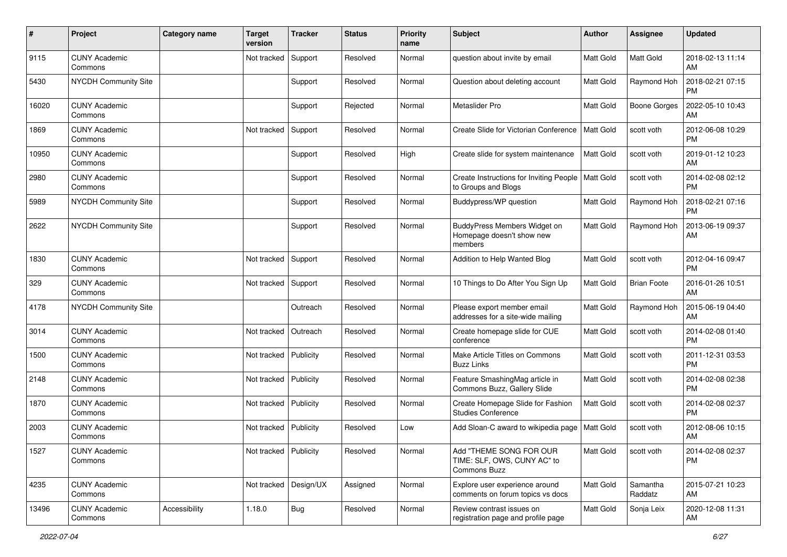| $\#$  | Project                         | <b>Category name</b> | <b>Target</b><br>version | <b>Tracker</b> | <b>Status</b> | <b>Priority</b><br>name | <b>Subject</b>                                                         | <b>Author</b>    | <b>Assignee</b>     | <b>Updated</b>                |
|-------|---------------------------------|----------------------|--------------------------|----------------|---------------|-------------------------|------------------------------------------------------------------------|------------------|---------------------|-------------------------------|
| 9115  | <b>CUNY Academic</b><br>Commons |                      | Not tracked              | Support        | Resolved      | Normal                  | question about invite by email                                         | <b>Matt Gold</b> | Matt Gold           | 2018-02-13 11:14<br><b>AM</b> |
| 5430  | NYCDH Community Site            |                      |                          | Support        | Resolved      | Normal                  | Question about deleting account                                        | <b>Matt Gold</b> | Raymond Hoh         | 2018-02-21 07:15<br><b>PM</b> |
| 16020 | <b>CUNY Academic</b><br>Commons |                      |                          | Support        | Rejected      | Normal                  | Metaslider Pro                                                         | Matt Gold        | <b>Boone Gorges</b> | 2022-05-10 10:43<br><b>AM</b> |
| 1869  | <b>CUNY Academic</b><br>Commons |                      | Not tracked              | Support        | Resolved      | Normal                  | Create Slide for Victorian Conference                                  | <b>Matt Gold</b> | scott voth          | 2012-06-08 10:29<br><b>PM</b> |
| 10950 | <b>CUNY Academic</b><br>Commons |                      |                          | Support        | Resolved      | High                    | Create slide for system maintenance                                    | Matt Gold        | scott voth          | 2019-01-12 10:23<br>AM        |
| 2980  | <b>CUNY Academic</b><br>Commons |                      |                          | Support        | Resolved      | Normal                  | Create Instructions for Inviting People<br>to Groups and Blogs         | <b>Matt Gold</b> | scott voth          | 2014-02-08 02:12<br><b>PM</b> |
| 5989  | NYCDH Community Site            |                      |                          | Support        | Resolved      | Normal                  | Buddypress/WP question                                                 | Matt Gold        | Raymond Hoh         | 2018-02-21 07:16<br><b>PM</b> |
| 2622  | <b>NYCDH Community Site</b>     |                      |                          | Support        | Resolved      | Normal                  | BuddyPress Members Widget on<br>Homepage doesn't show new<br>members   | <b>Matt Gold</b> | Raymond Hoh         | 2013-06-19 09:37<br>AM        |
| 1830  | <b>CUNY Academic</b><br>Commons |                      | Not tracked              | Support        | Resolved      | Normal                  | Addition to Help Wanted Blog                                           | <b>Matt Gold</b> | scott voth          | 2012-04-16 09:47<br><b>PM</b> |
| 329   | <b>CUNY Academic</b><br>Commons |                      | Not tracked              | Support        | Resolved      | Normal                  | 10 Things to Do After You Sign Up                                      | <b>Matt Gold</b> | <b>Brian Foote</b>  | 2016-01-26 10:51<br>AM        |
| 4178  | NYCDH Community Site            |                      |                          | Outreach       | Resolved      | Normal                  | Please export member email<br>addresses for a site-wide mailing        | <b>Matt Gold</b> | Raymond Hoh         | 2015-06-19 04:40<br>AM        |
| 3014  | <b>CUNY Academic</b><br>Commons |                      | Not tracked              | Outreach       | Resolved      | Normal                  | Create homepage slide for CUE<br>conference                            | <b>Matt Gold</b> | scott voth          | 2014-02-08 01:40<br><b>PM</b> |
| 1500  | <b>CUNY Academic</b><br>Commons |                      | Not tracked              | Publicity      | Resolved      | Normal                  | Make Article Titles on Commons<br><b>Buzz Links</b>                    | Matt Gold        | scott voth          | 2011-12-31 03:53<br><b>PM</b> |
| 2148  | <b>CUNY Academic</b><br>Commons |                      | Not tracked              | Publicity      | Resolved      | Normal                  | Feature SmashingMag article in<br>Commons Buzz, Gallery Slide          | <b>Matt Gold</b> | scott voth          | 2014-02-08 02:38<br><b>PM</b> |
| 1870  | <b>CUNY Academic</b><br>Commons |                      | Not tracked              | Publicity      | Resolved      | Normal                  | Create Homepage Slide for Fashion<br><b>Studies Conference</b>         | Matt Gold        | scott voth          | 2014-02-08 02:37<br><b>PM</b> |
| 2003  | <b>CUNY Academic</b><br>Commons |                      | Not tracked              | Publicity      | Resolved      | Low                     | Add Sloan-C award to wikipedia page                                    | <b>Matt Gold</b> | scott voth          | 2012-08-06 10:15<br>AM        |
| 1527  | <b>CUNY Academic</b><br>Commons |                      | Not tracked Publicity    |                | Resolved      | Normal                  | Add "THEME SONG FOR OUR<br>TIME: SLF, OWS, CUNY AC" to<br>Commons Buzz | <b>Matt Gold</b> | scott voth          | 2014-02-08 02:37<br>PM        |
| 4235  | <b>CUNY Academic</b><br>Commons |                      | Not tracked              | Design/UX      | Assigned      | Normal                  | Explore user experience around<br>comments on forum topics vs docs     | Matt Gold        | Samantha<br>Raddatz | 2015-07-21 10:23<br>AM        |
| 13496 | <b>CUNY Academic</b><br>Commons | Accessibility        | 1.18.0                   | Bug            | Resolved      | Normal                  | Review contrast issues on<br>registration page and profile page        | Matt Gold        | Sonja Leix          | 2020-12-08 11:31<br>AM        |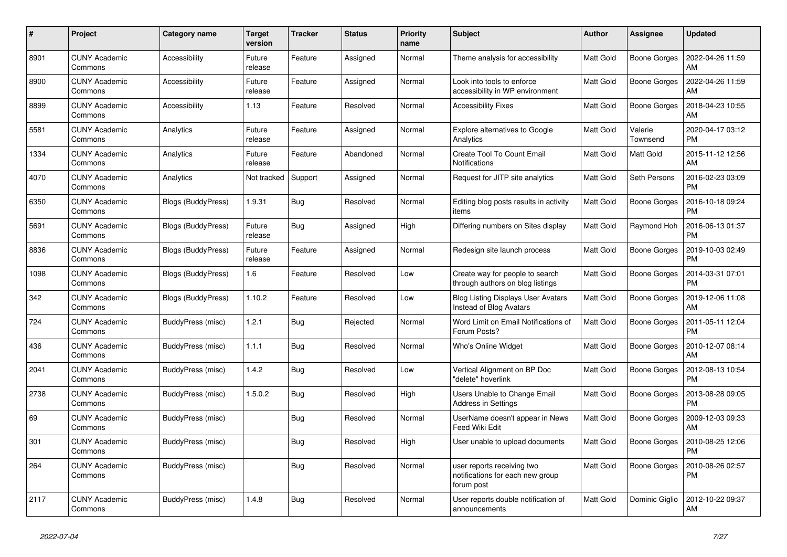| #    | Project                         | Category name      | Target<br>version | <b>Tracker</b> | <b>Status</b> | <b>Priority</b><br>name | <b>Subject</b>                                                               | <b>Author</b>    | Assignee            | <b>Updated</b>                |
|------|---------------------------------|--------------------|-------------------|----------------|---------------|-------------------------|------------------------------------------------------------------------------|------------------|---------------------|-------------------------------|
| 8901 | <b>CUNY Academic</b><br>Commons | Accessibility      | Future<br>release | Feature        | Assigned      | Normal                  | Theme analysis for accessibility                                             | <b>Matt Gold</b> | Boone Gorges        | 2022-04-26 11:59<br>AM        |
| 8900 | <b>CUNY Academic</b><br>Commons | Accessibility      | Future<br>release | Feature        | Assigned      | Normal                  | Look into tools to enforce<br>accessibility in WP environment                | <b>Matt Gold</b> | <b>Boone Gorges</b> | 2022-04-26 11:59<br>AM        |
| 8899 | <b>CUNY Academic</b><br>Commons | Accessibility      | 1.13              | Feature        | Resolved      | Normal                  | <b>Accessibility Fixes</b>                                                   | <b>Matt Gold</b> | Boone Gorges        | 2018-04-23 10:55<br>AM        |
| 5581 | <b>CUNY Academic</b><br>Commons | Analytics          | Future<br>release | Feature        | Assigned      | Normal                  | Explore alternatives to Google<br>Analytics                                  | <b>Matt Gold</b> | Valerie<br>Townsend | 2020-04-17 03:12<br><b>PM</b> |
| 1334 | <b>CUNY Academic</b><br>Commons | Analytics          | Future<br>release | Feature        | Abandoned     | Normal                  | Create Tool To Count Email<br>Notifications                                  | <b>Matt Gold</b> | Matt Gold           | 2015-11-12 12:56<br>AM        |
| 4070 | <b>CUNY Academic</b><br>Commons | Analytics          | Not tracked       | Support        | Assigned      | Normal                  | Request for JITP site analytics                                              | <b>Matt Gold</b> | Seth Persons        | 2016-02-23 03:09<br><b>PM</b> |
| 6350 | <b>CUNY Academic</b><br>Commons | Blogs (BuddyPress) | 1.9.31            | <b>Bug</b>     | Resolved      | Normal                  | Editing blog posts results in activity<br>items                              | <b>Matt Gold</b> | Boone Gorges        | 2016-10-18 09:24<br><b>PM</b> |
| 5691 | <b>CUNY Academic</b><br>Commons | Blogs (BuddyPress) | Future<br>release | Bug            | Assigned      | High                    | Differing numbers on Sites display                                           | Matt Gold        | Raymond Hoh         | 2016-06-13 01:37<br><b>PM</b> |
| 8836 | <b>CUNY Academic</b><br>Commons | Blogs (BuddyPress) | Future<br>release | Feature        | Assigned      | Normal                  | Redesign site launch process                                                 | <b>Matt Gold</b> | <b>Boone Gorges</b> | 2019-10-03 02:49<br><b>PM</b> |
| 1098 | <b>CUNY Academic</b><br>Commons | Blogs (BuddyPress) | 1.6               | Feature        | Resolved      | Low                     | Create way for people to search<br>through authors on blog listings          | <b>Matt Gold</b> | Boone Gorges        | 2014-03-31 07:01<br><b>PM</b> |
| 342  | <b>CUNY Academic</b><br>Commons | Blogs (BuddyPress) | 1.10.2            | Feature        | Resolved      | Low                     | <b>Blog Listing Displays User Avatars</b><br>Instead of Blog Avatars         | <b>Matt Gold</b> | Boone Gorges        | 2019-12-06 11:08<br>AM        |
| 724  | <b>CUNY Academic</b><br>Commons | BuddyPress (misc)  | 1.2.1             | Bug            | Rejected      | Normal                  | Word Limit on Email Notifications of<br>Forum Posts?                         | <b>Matt Gold</b> | <b>Boone Gorges</b> | 2011-05-11 12:04<br><b>PM</b> |
| 436  | <b>CUNY Academic</b><br>Commons | BuddyPress (misc)  | 1.1.1             | <b>Bug</b>     | Resolved      | Normal                  | Who's Online Widget                                                          | Matt Gold        | Boone Gorges        | 2010-12-07 08:14<br>AM        |
| 2041 | <b>CUNY Academic</b><br>Commons | BuddyPress (misc)  | 1.4.2             | <b>Bug</b>     | Resolved      | Low                     | Vertical Alignment on BP Doc<br>"delete" hoverlink                           | <b>Matt Gold</b> | Boone Gorges        | 2012-08-13 10:54<br><b>PM</b> |
| 2738 | <b>CUNY Academic</b><br>Commons | BuddyPress (misc)  | 1.5.0.2           | <b>Bug</b>     | Resolved      | High                    | Users Unable to Change Email<br><b>Address in Settings</b>                   | <b>Matt Gold</b> | Boone Gorges        | 2013-08-28 09:05<br><b>PM</b> |
| 69   | CUNY Academic<br>Commons        | BuddyPress (misc)  |                   | <b>Bug</b>     | Resolved      | Normal                  | UserName doesn't appear in News<br>Feed Wiki Edit                            | <b>Matt Gold</b> | Boone Gorges        | 2009-12-03 09:33<br>AM        |
| 301  | <b>CUNY Academic</b><br>Commons | BuddyPress (misc)  |                   | <b>Bug</b>     | Resolved      | High                    | User unable to upload documents                                              | <b>Matt Gold</b> | Boone Gorges        | 2010-08-25 12:06<br>PM        |
| 264  | <b>CUNY Academic</b><br>Commons | BuddyPress (misc)  |                   | Bug            | Resolved      | Normal                  | user reports receiving two<br>notifications for each new group<br>forum post | <b>Matt Gold</b> | Boone Gorges        | 2010-08-26 02:57<br>PM        |
| 2117 | <b>CUNY Academic</b><br>Commons | BuddyPress (misc)  | 1.4.8             | <b>Bug</b>     | Resolved      | Normal                  | User reports double notification of<br>announcements                         | <b>Matt Gold</b> | Dominic Giglio      | 2012-10-22 09:37<br>AM        |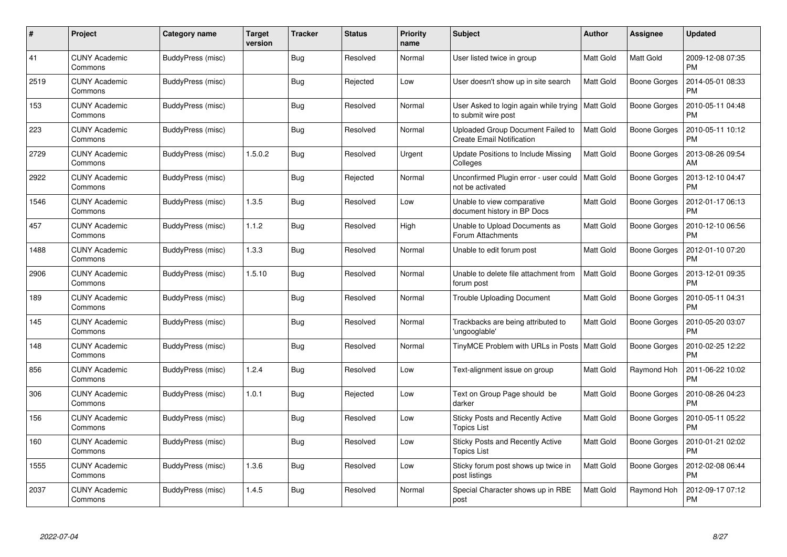| #    | Project                         | Category name     | <b>Target</b><br>version | <b>Tracker</b> | <b>Status</b> | <b>Priority</b><br>name | <b>Subject</b>                                                        | <b>Author</b>    | <b>Assignee</b>     | <b>Updated</b>                |
|------|---------------------------------|-------------------|--------------------------|----------------|---------------|-------------------------|-----------------------------------------------------------------------|------------------|---------------------|-------------------------------|
| 41   | <b>CUNY Academic</b><br>Commons | BuddyPress (misc) |                          | Bug            | Resolved      | Normal                  | User listed twice in group                                            | <b>Matt Gold</b> | <b>Matt Gold</b>    | 2009-12-08 07:35<br><b>PM</b> |
| 2519 | <b>CUNY Academic</b><br>Commons | BuddyPress (misc) |                          | Bug            | Rejected      | Low                     | User doesn't show up in site search                                   | <b>Matt Gold</b> | <b>Boone Gorges</b> | 2014-05-01 08:33<br><b>PM</b> |
| 153  | <b>CUNY Academic</b><br>Commons | BuddyPress (misc) |                          | <b>Bug</b>     | Resolved      | Normal                  | User Asked to login again while trying<br>to submit wire post         | <b>Matt Gold</b> | <b>Boone Gorges</b> | 2010-05-11 04:48<br><b>PM</b> |
| 223  | <b>CUNY Academic</b><br>Commons | BuddyPress (misc) |                          | <b>Bug</b>     | Resolved      | Normal                  | Uploaded Group Document Failed to<br><b>Create Email Notification</b> | Matt Gold        | Boone Gorges        | 2010-05-11 10:12<br><b>PM</b> |
| 2729 | <b>CUNY Academic</b><br>Commons | BuddyPress (misc) | 1.5.0.2                  | <b>Bug</b>     | Resolved      | Urgent                  | Update Positions to Include Missing<br>Colleges                       | Matt Gold        | <b>Boone Gorges</b> | 2013-08-26 09:54<br>AM        |
| 2922 | <b>CUNY Academic</b><br>Commons | BuddyPress (misc) |                          | Bug            | Rejected      | Normal                  | Unconfirmed Plugin error - user could<br>not be activated             | <b>Matt Gold</b> | Boone Gorges        | 2013-12-10 04:47<br><b>PM</b> |
| 1546 | <b>CUNY Academic</b><br>Commons | BuddyPress (misc) | 1.3.5                    | Bug            | Resolved      | Low                     | Unable to view comparative<br>document history in BP Docs             | Matt Gold        | Boone Gorges        | 2012-01-17 06:13<br><b>PM</b> |
| 457  | <b>CUNY Academic</b><br>Commons | BuddyPress (misc) | 1.1.2                    | Bug            | Resolved      | High                    | Unable to Upload Documents as<br>Forum Attachments                    | <b>Matt Gold</b> | Boone Gorges        | 2010-12-10 06:56<br><b>PM</b> |
| 1488 | <b>CUNY Academic</b><br>Commons | BuddyPress (misc) | 1.3.3                    | <b>Bug</b>     | Resolved      | Normal                  | Unable to edit forum post                                             | <b>Matt Gold</b> | <b>Boone Gorges</b> | 2012-01-10 07:20<br><b>PM</b> |
| 2906 | <b>CUNY Academic</b><br>Commons | BuddyPress (misc) | 1.5.10                   | Bug            | Resolved      | Normal                  | Unable to delete file attachment from<br>forum post                   | <b>Matt Gold</b> | <b>Boone Gorges</b> | 2013-12-01 09:35<br>PM        |
| 189  | <b>CUNY Academic</b><br>Commons | BuddyPress (misc) |                          | Bug            | Resolved      | Normal                  | <b>Trouble Uploading Document</b>                                     | <b>Matt Gold</b> | Boone Gorges        | 2010-05-11 04:31<br><b>PM</b> |
| 145  | <b>CUNY Academic</b><br>Commons | BuddyPress (misc) |                          | <b>Bug</b>     | Resolved      | Normal                  | Trackbacks are being attributed to<br>'ungooglable'                   | <b>Matt Gold</b> | Boone Gorges        | 2010-05-20 03:07<br><b>PM</b> |
| 148  | <b>CUNY Academic</b><br>Commons | BuddyPress (misc) |                          | <b>Bug</b>     | Resolved      | Normal                  | TinyMCE Problem with URLs in Posts   Matt Gold                        |                  | Boone Gorges        | 2010-02-25 12:22<br><b>PM</b> |
| 856  | <b>CUNY Academic</b><br>Commons | BuddyPress (misc) | 1.2.4                    | Bug            | Resolved      | Low                     | Text-alignment issue on group                                         | <b>Matt Gold</b> | Raymond Hoh         | 2011-06-22 10:02<br><b>PM</b> |
| 306  | <b>CUNY Academic</b><br>Commons | BuddyPress (misc) | 1.0.1                    | <b>Bug</b>     | Rejected      | Low                     | Text on Group Page should be<br>darker                                | <b>Matt Gold</b> | <b>Boone Gorges</b> | 2010-08-26 04:23<br><b>PM</b> |
| 156  | <b>CUNY Academic</b><br>Commons | BuddyPress (misc) |                          | <b>Bug</b>     | Resolved      | Low                     | Sticky Posts and Recently Active<br><b>Topics List</b>                | <b>Matt Gold</b> | Boone Gorges        | 2010-05-11 05:22<br><b>PM</b> |
| 160  | <b>CUNY Academic</b><br>Commons | BuddyPress (misc) |                          | Bug            | Resolved      | Low                     | <b>Sticky Posts and Recently Active</b><br><b>Topics List</b>         | <b>Matt Gold</b> | Boone Gorges        | 2010-01-21 02:02<br><b>PM</b> |
| 1555 | <b>CUNY Academic</b><br>Commons | BuddyPress (misc) | 1.3.6                    | Bug            | Resolved      | Low                     | Sticky forum post shows up twice in<br>post listings                  | Matt Gold        | <b>Boone Gorges</b> | 2012-02-08 06:44<br><b>PM</b> |
| 2037 | CUNY Academic<br>Commons        | BuddyPress (misc) | 1.4.5                    | <b>Bug</b>     | Resolved      | Normal                  | Special Character shows up in RBE<br>post                             | <b>Matt Gold</b> | Raymond Hoh         | 2012-09-17 07:12<br>PM        |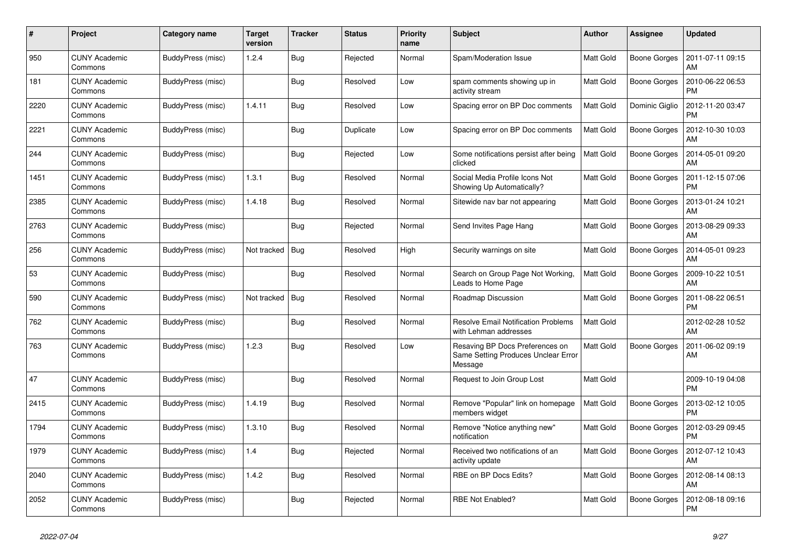| #    | Project                         | Category name     | <b>Target</b><br>version | <b>Tracker</b> | <b>Status</b> | <b>Priority</b><br>name | <b>Subject</b>                                                                    | <b>Author</b>    | Assignee            | <b>Updated</b>                |
|------|---------------------------------|-------------------|--------------------------|----------------|---------------|-------------------------|-----------------------------------------------------------------------------------|------------------|---------------------|-------------------------------|
| 950  | <b>CUNY Academic</b><br>Commons | BuddyPress (misc) | 1.2.4                    | <b>Bug</b>     | Rejected      | Normal                  | Spam/Moderation Issue                                                             | <b>Matt Gold</b> | <b>Boone Gorges</b> | 2011-07-11 09:15<br>AM        |
| 181  | <b>CUNY Academic</b><br>Commons | BuddyPress (misc) |                          | <b>Bug</b>     | Resolved      | Low                     | spam comments showing up in<br>activity stream                                    | <b>Matt Gold</b> | <b>Boone Gorges</b> | 2010-06-22 06:53<br><b>PM</b> |
| 2220 | <b>CUNY Academic</b><br>Commons | BuddyPress (misc) | 1.4.11                   | <b>Bug</b>     | Resolved      | Low                     | Spacing error on BP Doc comments                                                  | Matt Gold        | Dominic Giglio      | 2012-11-20 03:47<br><b>PM</b> |
| 2221 | <b>CUNY Academic</b><br>Commons | BuddyPress (misc) |                          | Bug            | Duplicate     | Low                     | Spacing error on BP Doc comments                                                  | <b>Matt Gold</b> | Boone Gorges        | 2012-10-30 10:03<br>AM        |
| 244  | <b>CUNY Academic</b><br>Commons | BuddyPress (misc) |                          | <b>Bug</b>     | Rejected      | Low                     | Some notifications persist after being<br>clicked                                 | <b>Matt Gold</b> | <b>Boone Gorges</b> | 2014-05-01 09:20<br>AM        |
| 1451 | CUNY Academic<br>Commons        | BuddyPress (misc) | 1.3.1                    | <b>Bug</b>     | Resolved      | Normal                  | Social Media Profile Icons Not<br>Showing Up Automatically?                       | <b>Matt Gold</b> | Boone Gorges        | 2011-12-15 07:06<br><b>PM</b> |
| 2385 | <b>CUNY Academic</b><br>Commons | BuddyPress (misc) | 1.4.18                   | <b>Bug</b>     | Resolved      | Normal                  | Sitewide nav bar not appearing                                                    | <b>Matt Gold</b> | <b>Boone Gorges</b> | 2013-01-24 10:21<br>AM        |
| 2763 | <b>CUNY Academic</b><br>Commons | BuddyPress (misc) |                          | Bug            | Rejected      | Normal                  | Send Invites Page Hang                                                            | <b>Matt Gold</b> | <b>Boone Gorges</b> | 2013-08-29 09:33<br>AM        |
| 256  | <b>CUNY Academic</b><br>Commons | BuddyPress (misc) | Not tracked              | Bug            | Resolved      | High                    | Security warnings on site                                                         | <b>Matt Gold</b> | <b>Boone Gorges</b> | 2014-05-01 09:23<br>AM        |
| 53   | <b>CUNY Academic</b><br>Commons | BuddyPress (misc) |                          | <b>Bug</b>     | Resolved      | Normal                  | Search on Group Page Not Working,<br>Leads to Home Page                           | <b>Matt Gold</b> | Boone Gorges        | 2009-10-22 10:51<br>AM        |
| 590  | <b>CUNY Academic</b><br>Commons | BuddyPress (misc) | Not tracked              | Bug            | Resolved      | Normal                  | Roadmap Discussion                                                                | <b>Matt Gold</b> | Boone Gorges        | 2011-08-22 06:51<br><b>PM</b> |
| 762  | <b>CUNY Academic</b><br>Commons | BuddyPress (misc) |                          | Bug            | Resolved      | Normal                  | <b>Resolve Email Notification Problems</b><br>with Lehman addresses               | Matt Gold        |                     | 2012-02-28 10:52<br>AM        |
| 763  | <b>CUNY Academic</b><br>Commons | BuddyPress (misc) | 1.2.3                    | Bug            | Resolved      | Low                     | Resaving BP Docs Preferences on<br>Same Setting Produces Unclear Error<br>Message | Matt Gold        | Boone Gorges        | 2011-06-02 09:19<br>AM        |
| 47   | <b>CUNY Academic</b><br>Commons | BuddyPress (misc) |                          | Bug            | Resolved      | Normal                  | Request to Join Group Lost                                                        | Matt Gold        |                     | 2009-10-19 04:08<br><b>PM</b> |
| 2415 | <b>CUNY Academic</b><br>Commons | BuddyPress (misc) | 1.4.19                   | <b>Bug</b>     | Resolved      | Normal                  | Remove "Popular" link on homepage<br>members widget                               | Matt Gold        | <b>Boone Gorges</b> | 2013-02-12 10:05<br><b>PM</b> |
| 1794 | <b>CUNY Academic</b><br>Commons | BuddyPress (misc) | 1.3.10                   | <b>Bug</b>     | Resolved      | Normal                  | Remove "Notice anything new"<br>notification                                      | <b>Matt Gold</b> | <b>Boone Gorges</b> | 2012-03-29 09:45<br><b>PM</b> |
| 1979 | <b>CUNY Academic</b><br>Commons | BuddyPress (misc) | 1.4                      | <b>Bug</b>     | Rejected      | Normal                  | Received two notifications of an<br>activity update                               | <b>Matt Gold</b> | Boone Gorges        | 2012-07-12 10:43<br>AM        |
| 2040 | <b>CUNY Academic</b><br>Commons | BuddyPress (misc) | 1.4.2                    | <b>Bug</b>     | Resolved      | Normal                  | RBE on BP Docs Edits?                                                             | <b>Matt Gold</b> | Boone Gorges        | 2012-08-14 08:13<br>AM        |
| 2052 | <b>CUNY Academic</b><br>Commons | BuddyPress (misc) |                          | Bug            | Rejected      | Normal                  | <b>RBE Not Enabled?</b>                                                           | <b>Matt Gold</b> | <b>Boone Gorges</b> | 2012-08-18 09:16<br><b>PM</b> |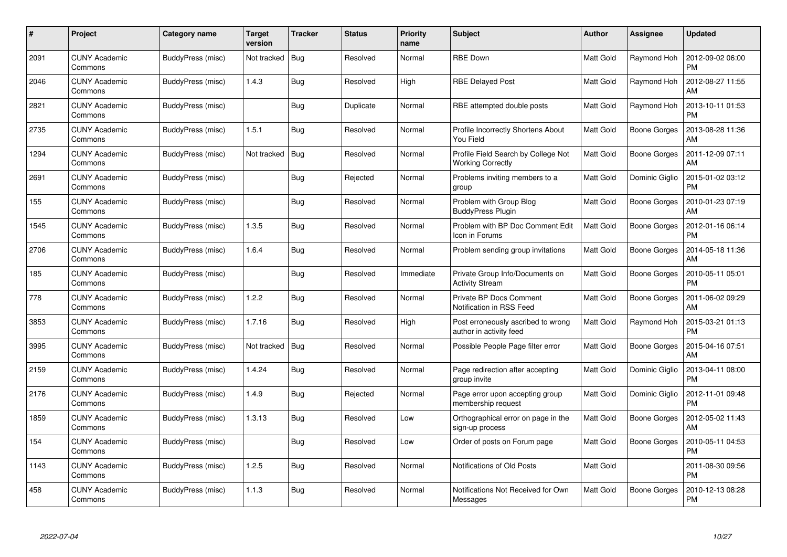| #    | Project                         | Category name     | Target<br>version | <b>Tracker</b> | <b>Status</b> | <b>Priority</b><br>name | <b>Subject</b>                                                  | Author           | <b>Assignee</b>     | <b>Updated</b>                |
|------|---------------------------------|-------------------|-------------------|----------------|---------------|-------------------------|-----------------------------------------------------------------|------------------|---------------------|-------------------------------|
| 2091 | <b>CUNY Academic</b><br>Commons | BuddyPress (misc) | Not tracked       | <b>Bug</b>     | Resolved      | Normal                  | <b>RBE Down</b>                                                 | <b>Matt Gold</b> | Raymond Hoh         | 2012-09-02 06:00<br><b>PM</b> |
| 2046 | <b>CUNY Academic</b><br>Commons | BuddyPress (misc) | 1.4.3             | Bug            | Resolved      | High                    | <b>RBE Delayed Post</b>                                         | <b>Matt Gold</b> | Raymond Hoh         | 2012-08-27 11:55<br>AM        |
| 2821 | <b>CUNY Academic</b><br>Commons | BuddyPress (misc) |                   | <b>Bug</b>     | Duplicate     | Normal                  | RBE attempted double posts                                      | <b>Matt Gold</b> | Raymond Hoh         | 2013-10-11 01:53<br><b>PM</b> |
| 2735 | <b>CUNY Academic</b><br>Commons | BuddyPress (misc) | 1.5.1             | <b>Bug</b>     | Resolved      | Normal                  | Profile Incorrectly Shortens About<br>You Field                 | <b>Matt Gold</b> | Boone Gorges        | 2013-08-28 11:36<br>AM        |
| 1294 | <b>CUNY Academic</b><br>Commons | BuddyPress (misc) | Not tracked       | Bug            | Resolved      | Normal                  | Profile Field Search by College Not<br><b>Working Correctly</b> | Matt Gold        | Boone Gorges        | 2011-12-09 07:11<br>AM        |
| 2691 | <b>CUNY Academic</b><br>Commons | BuddyPress (misc) |                   | Bug            | Rejected      | Normal                  | Problems inviting members to a<br>group                         | <b>Matt Gold</b> | Dominic Giglio      | 2015-01-02 03:12<br><b>PM</b> |
| 155  | <b>CUNY Academic</b><br>Commons | BuddyPress (misc) |                   | Bug            | Resolved      | Normal                  | Problem with Group Blog<br><b>BuddyPress Plugin</b>             | Matt Gold        | <b>Boone Gorges</b> | 2010-01-23 07:19<br>AM        |
| 1545 | <b>CUNY Academic</b><br>Commons | BuddyPress (misc) | 1.3.5             | Bug            | Resolved      | Normal                  | Problem with BP Doc Comment Edit<br>Icon in Forums              | Matt Gold        | Boone Gorges        | 2012-01-16 06:14<br><b>PM</b> |
| 2706 | <b>CUNY Academic</b><br>Commons | BuddyPress (misc) | 1.6.4             | <b>Bug</b>     | Resolved      | Normal                  | Problem sending group invitations                               | <b>Matt Gold</b> | <b>Boone Gorges</b> | 2014-05-18 11:36<br>AM        |
| 185  | <b>CUNY Academic</b><br>Commons | BuddyPress (misc) |                   | <b>Bug</b>     | Resolved      | Immediate               | Private Group Info/Documents on<br><b>Activity Stream</b>       | <b>Matt Gold</b> | <b>Boone Gorges</b> | 2010-05-11 05:01<br>PM        |
| 778  | <b>CUNY Academic</b><br>Commons | BuddyPress (misc) | 1.2.2             | Bug            | Resolved      | Normal                  | <b>Private BP Docs Comment</b><br>Notification in RSS Feed      | <b>Matt Gold</b> | Boone Gorges        | 2011-06-02 09:29<br>AM        |
| 3853 | <b>CUNY Academic</b><br>Commons | BuddyPress (misc) | 1.7.16            | <b>Bug</b>     | Resolved      | High                    | Post erroneously ascribed to wrong<br>author in activity feed   | <b>Matt Gold</b> | Raymond Hoh         | 2015-03-21 01:13<br><b>PM</b> |
| 3995 | <b>CUNY Academic</b><br>Commons | BuddyPress (misc) | Not tracked       | <b>Bug</b>     | Resolved      | Normal                  | Possible People Page filter error                               | <b>Matt Gold</b> | Boone Gorges        | 2015-04-16 07:51<br>АM        |
| 2159 | <b>CUNY Academic</b><br>Commons | BuddyPress (misc) | 1.4.24            | Bug            | Resolved      | Normal                  | Page redirection after accepting<br>group invite                | <b>Matt Gold</b> | Dominic Giglio      | 2013-04-11 08:00<br><b>PM</b> |
| 2176 | <b>CUNY Academic</b><br>Commons | BuddyPress (misc) | 1.4.9             | <b>Bug</b>     | Rejected      | Normal                  | Page error upon accepting group<br>membership request           | <b>Matt Gold</b> | Dominic Giglio      | 2012-11-01 09:48<br><b>PM</b> |
| 1859 | <b>CUNY Academic</b><br>Commons | BuddyPress (misc) | 1.3.13            | <b>Bug</b>     | Resolved      | Low                     | Orthographical error on page in the<br>sign-up process          | <b>Matt Gold</b> | Boone Gorges        | 2012-05-02 11:43<br>AM        |
| 154  | <b>CUNY Academic</b><br>Commons | BuddyPress (misc) |                   | Bug            | Resolved      | Low                     | Order of posts on Forum page                                    | <b>Matt Gold</b> | Boone Gorges        | 2010-05-11 04:53<br><b>PM</b> |
| 1143 | <b>CUNY Academic</b><br>Commons | BuddyPress (misc) | 1.2.5             | <b>Bug</b>     | Resolved      | Normal                  | Notifications of Old Posts                                      | Matt Gold        |                     | 2011-08-30 09:56<br><b>PM</b> |
| 458  | CUNY Academic<br>Commons        | BuddyPress (misc) | 1.1.3             | <b>Bug</b>     | Resolved      | Normal                  | Notifications Not Received for Own<br>Messages                  | <b>Matt Gold</b> | Boone Gorges        | 2010-12-13 08:28<br>PM        |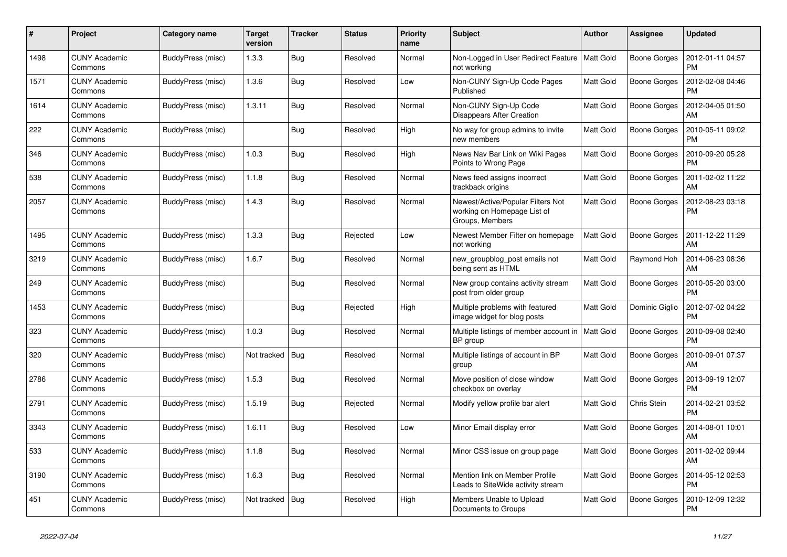| #    | Project                         | Category name     | Target<br>version | <b>Tracker</b> | <b>Status</b> | <b>Priority</b><br>name | <b>Subject</b>                                                                      | <b>Author</b>    | Assignee            | <b>Updated</b>                |
|------|---------------------------------|-------------------|-------------------|----------------|---------------|-------------------------|-------------------------------------------------------------------------------------|------------------|---------------------|-------------------------------|
| 1498 | <b>CUNY Academic</b><br>Commons | BuddyPress (misc) | 1.3.3             | <b>Bug</b>     | Resolved      | Normal                  | Non-Logged in User Redirect Feature<br>not working                                  | <b>Matt Gold</b> | <b>Boone Gorges</b> | 2012-01-11 04:57<br><b>PM</b> |
| 1571 | <b>CUNY Academic</b><br>Commons | BuddyPress (misc) | 1.3.6             | Bug            | Resolved      | Low                     | Non-CUNY Sign-Up Code Pages<br>Published                                            | <b>Matt Gold</b> | <b>Boone Gorges</b> | 2012-02-08 04:46<br>PM        |
| 1614 | <b>CUNY Academic</b><br>Commons | BuddyPress (misc) | 1.3.11            | <b>Bug</b>     | Resolved      | Normal                  | Non-CUNY Sign-Up Code<br><b>Disappears After Creation</b>                           | <b>Matt Gold</b> | Boone Gorges        | 2012-04-05 01:50<br>AM        |
| 222  | <b>CUNY Academic</b><br>Commons | BuddyPress (misc) |                   | <b>Bug</b>     | Resolved      | High                    | No way for group admins to invite<br>new members                                    | <b>Matt Gold</b> | Boone Gorges        | 2010-05-11 09:02<br><b>PM</b> |
| 346  | <b>CUNY Academic</b><br>Commons | BuddyPress (misc) | 1.0.3             | Bug            | Resolved      | High                    | News Nav Bar Link on Wiki Pages<br>Points to Wrong Page                             | <b>Matt Gold</b> | <b>Boone Gorges</b> | 2010-09-20 05:28<br>PM        |
| 538  | <b>CUNY Academic</b><br>Commons | BuddyPress (misc) | 1.1.8             | <b>Bug</b>     | Resolved      | Normal                  | News feed assigns incorrect<br>trackback origins                                    | <b>Matt Gold</b> | <b>Boone Gorges</b> | 2011-02-02 11:22<br>AM        |
| 2057 | <b>CUNY Academic</b><br>Commons | BuddyPress (misc) | 1.4.3             | Bug            | Resolved      | Normal                  | Newest/Active/Popular Filters Not<br>working on Homepage List of<br>Groups, Members | <b>Matt Gold</b> | <b>Boone Gorges</b> | 2012-08-23 03:18<br><b>PM</b> |
| 1495 | <b>CUNY Academic</b><br>Commons | BuddyPress (misc) | 1.3.3             | Bug            | Rejected      | Low                     | Newest Member Filter on homepage<br>not working                                     | <b>Matt Gold</b> | Boone Gorges        | 2011-12-22 11:29<br>AM        |
| 3219 | <b>CUNY Academic</b><br>Commons | BuddyPress (misc) | 1.6.7             | Bug            | Resolved      | Normal                  | new_groupblog_post emails not<br>being sent as HTML                                 | Matt Gold        | Raymond Hoh         | 2014-06-23 08:36<br>AM        |
| 249  | <b>CUNY Academic</b><br>Commons | BuddyPress (misc) |                   | <b>Bug</b>     | Resolved      | Normal                  | New group contains activity stream<br>post from older group                         | <b>Matt Gold</b> | Boone Gorges        | 2010-05-20 03:00<br><b>PM</b> |
| 1453 | <b>CUNY Academic</b><br>Commons | BuddyPress (misc) |                   | Bug            | Rejected      | High                    | Multiple problems with featured<br>image widget for blog posts                      | <b>Matt Gold</b> | Dominic Giglio      | 2012-07-02 04:22<br><b>PM</b> |
| 323  | <b>CUNY Academic</b><br>Commons | BuddyPress (misc) | 1.0.3             | <b>Bug</b>     | Resolved      | Normal                  | Multiple listings of member account in<br>BP group                                  | <b>Matt Gold</b> | <b>Boone Gorges</b> | 2010-09-08 02:40<br><b>PM</b> |
| 320  | <b>CUNY Academic</b><br>Commons | BuddyPress (misc) | Not tracked       | Bug            | Resolved      | Normal                  | Multiple listings of account in BP<br>group                                         | <b>Matt Gold</b> | <b>Boone Gorges</b> | 2010-09-01 07:37<br>AM        |
| 2786 | <b>CUNY Academic</b><br>Commons | BuddyPress (misc) | 1.5.3             | <b>Bug</b>     | Resolved      | Normal                  | Move position of close window<br>checkbox on overlay                                | <b>Matt Gold</b> | <b>Boone Gorges</b> | 2013-09-19 12:07<br><b>PM</b> |
| 2791 | <b>CUNY Academic</b><br>Commons | BuddyPress (misc) | 1.5.19            | <b>Bug</b>     | Rejected      | Normal                  | Modify yellow profile bar alert                                                     | <b>Matt Gold</b> | Chris Stein         | 2014-02-21 03:52<br><b>PM</b> |
| 3343 | <b>CUNY Academic</b><br>Commons | BuddyPress (misc) | 1.6.11            | Bug            | Resolved      | Low                     | Minor Email display error                                                           | Matt Gold        | <b>Boone Gorges</b> | 2014-08-01 10:01<br>AM        |
| 533  | <b>CUNY Academic</b><br>Commons | BuddyPress (misc) | 1.1.8             | <b>Bug</b>     | Resolved      | Normal                  | Minor CSS issue on group page                                                       | <b>Matt Gold</b> | Boone Gorges        | 2011-02-02 09:44<br>AM        |
| 3190 | <b>CUNY Academic</b><br>Commons | BuddyPress (misc) | 1.6.3             | Bug            | Resolved      | Normal                  | Mention link on Member Profile<br>Leads to SiteWide activity stream                 | <b>Matt Gold</b> | Boone Gorges        | 2014-05-12 02:53<br><b>PM</b> |
| 451  | <b>CUNY Academic</b><br>Commons | BuddyPress (misc) | Not tracked       | Bug            | Resolved      | High                    | Members Unable to Upload<br>Documents to Groups                                     | <b>Matt Gold</b> | Boone Gorges        | 2010-12-09 12:32<br><b>PM</b> |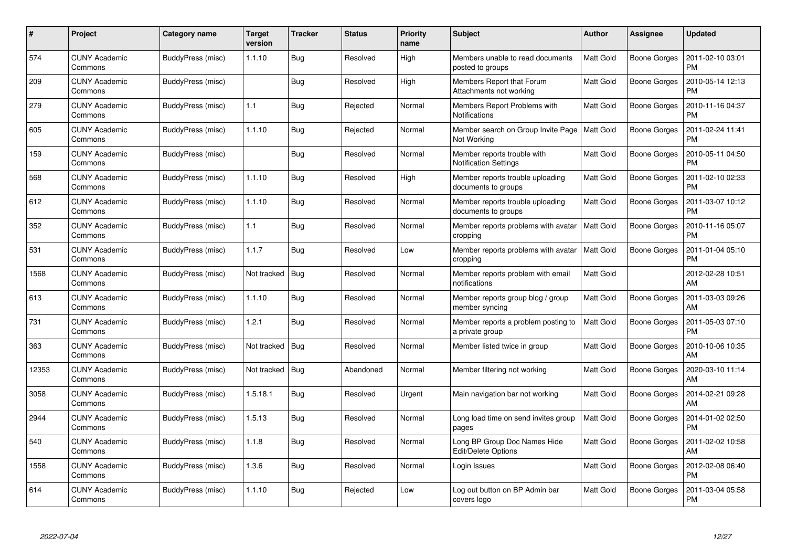| #     | Project                         | Category name     | <b>Target</b><br>version | <b>Tracker</b> | <b>Status</b> | <b>Priority</b><br>name | <b>Subject</b>                                              | Author           | <b>Assignee</b>     | <b>Updated</b>                |
|-------|---------------------------------|-------------------|--------------------------|----------------|---------------|-------------------------|-------------------------------------------------------------|------------------|---------------------|-------------------------------|
| 574   | <b>CUNY Academic</b><br>Commons | BuddyPress (misc) | 1.1.10                   | <b>Bug</b>     | Resolved      | High                    | Members unable to read documents<br>posted to groups        | <b>Matt Gold</b> | <b>Boone Gorges</b> | 2011-02-10 03:01<br><b>PM</b> |
| 209   | <b>CUNY Academic</b><br>Commons | BuddyPress (misc) |                          | Bug            | Resolved      | High                    | Members Report that Forum<br>Attachments not working        | <b>Matt Gold</b> | Boone Gorges        | 2010-05-14 12:13<br><b>PM</b> |
| 279   | <b>CUNY Academic</b><br>Commons | BuddyPress (misc) | 1.1                      | <b>Bug</b>     | Rejected      | Normal                  | Members Report Problems with<br>Notifications               | <b>Matt Gold</b> | <b>Boone Gorges</b> | 2010-11-16 04:37<br><b>PM</b> |
| 605   | <b>CUNY Academic</b><br>Commons | BuddyPress (misc) | 1.1.10                   | Bug            | Rejected      | Normal                  | Member search on Group Invite Page<br>Not Working           | Matt Gold        | Boone Gorges        | 2011-02-24 11:41<br><b>PM</b> |
| 159   | <b>CUNY Academic</b><br>Commons | BuddyPress (misc) |                          | <b>Bug</b>     | Resolved      | Normal                  | Member reports trouble with<br><b>Notification Settings</b> | <b>Matt Gold</b> | <b>Boone Gorges</b> | 2010-05-11 04:50<br><b>PM</b> |
| 568   | <b>CUNY Academic</b><br>Commons | BuddyPress (misc) | 1.1.10                   | <b>Bug</b>     | Resolved      | High                    | Member reports trouble uploading<br>documents to groups     | <b>Matt Gold</b> | Boone Gorges        | 2011-02-10 02:33<br><b>PM</b> |
| 612   | <b>CUNY Academic</b><br>Commons | BuddyPress (misc) | 1.1.10                   | Bug            | Resolved      | Normal                  | Member reports trouble uploading<br>documents to groups     | <b>Matt Gold</b> | Boone Gorges        | 2011-03-07 10:12<br><b>PM</b> |
| 352   | <b>CUNY Academic</b><br>Commons | BuddyPress (misc) | 1.1                      | <b>Bug</b>     | Resolved      | Normal                  | Member reports problems with avatar<br>cropping             | <b>Matt Gold</b> | Boone Gorges        | 2010-11-16 05:07<br><b>PM</b> |
| 531   | <b>CUNY Academic</b><br>Commons | BuddyPress (misc) | 1.1.7                    | Bug            | Resolved      | Low                     | Member reports problems with avatar<br>cropping             | <b>Matt Gold</b> | <b>Boone Gorges</b> | 2011-01-04 05:10<br><b>PM</b> |
| 1568  | <b>CUNY Academic</b><br>Commons | BuddyPress (misc) | Not tracked              | Bug            | Resolved      | Normal                  | Member reports problem with email<br>notifications          | <b>Matt Gold</b> |                     | 2012-02-28 10:51<br>AM        |
| 613   | <b>CUNY Academic</b><br>Commons | BuddyPress (misc) | 1.1.10                   | <b>Bug</b>     | Resolved      | Normal                  | Member reports group blog / group<br>member syncing         | <b>Matt Gold</b> | <b>Boone Gorges</b> | 2011-03-03 09:26<br>AM        |
| 731   | <b>CUNY Academic</b><br>Commons | BuddyPress (misc) | 1.2.1                    | Bug            | Resolved      | Normal                  | Member reports a problem posting to<br>a private group      | <b>Matt Gold</b> | Boone Gorges        | 2011-05-03 07:10<br><b>PM</b> |
| 363   | <b>CUNY Academic</b><br>Commons | BuddyPress (misc) | Not tracked              | Bug            | Resolved      | Normal                  | Member listed twice in group                                | <b>Matt Gold</b> | Boone Gorges        | 2010-10-06 10:35<br>AM        |
| 12353 | <b>CUNY Academic</b><br>Commons | BuddyPress (misc) | Not tracked              | Bug            | Abandoned     | Normal                  | Member filtering not working                                | <b>Matt Gold</b> | <b>Boone Gorges</b> | 2020-03-10 11:14<br>AM        |
| 3058  | <b>CUNY Academic</b><br>Commons | BuddyPress (misc) | 1.5.18.1                 | <b>Bug</b>     | Resolved      | Urgent                  | Main navigation bar not working                             | <b>Matt Gold</b> | Boone Gorges        | 2014-02-21 09:28<br>AM        |
| 2944  | <b>CUNY Academic</b><br>Commons | BuddyPress (misc) | 1.5.13                   | <b>Bug</b>     | Resolved      | Normal                  | Long load time on send invites group<br>pages               | Matt Gold        | Boone Gorges        | 2014-01-02 02:50<br><b>PM</b> |
| 540   | <b>CUNY Academic</b><br>Commons | BuddyPress (misc) | 1.1.8                    | <b>Bug</b>     | Resolved      | Normal                  | Long BP Group Doc Names Hide<br><b>Edit/Delete Options</b>  | <b>Matt Gold</b> | <b>Boone Gorges</b> | 2011-02-02 10:58<br>AM        |
| 1558  | <b>CUNY Academic</b><br>Commons | BuddyPress (misc) | 1.3.6                    | <b>Bug</b>     | Resolved      | Normal                  | Login Issues                                                | <b>Matt Gold</b> | Boone Gorges        | 2012-02-08 06:40<br><b>PM</b> |
| 614   | <b>CUNY Academic</b><br>Commons | BuddyPress (misc) | 1.1.10                   | Bug            | Rejected      | Low                     | Log out button on BP Admin bar<br>covers logo               | <b>Matt Gold</b> | Boone Gorges        | 2011-03-04 05:58<br>PM        |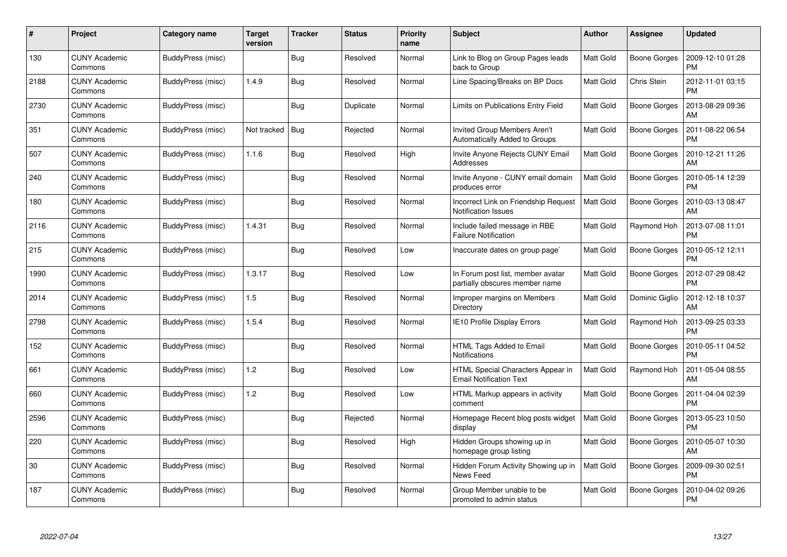| #    | Project                         | Category name     | <b>Target</b><br>version | <b>Tracker</b> | <b>Status</b> | <b>Priority</b><br>name | <b>Subject</b>                                                       | <b>Author</b>    | <b>Assignee</b>     | <b>Updated</b>                |
|------|---------------------------------|-------------------|--------------------------|----------------|---------------|-------------------------|----------------------------------------------------------------------|------------------|---------------------|-------------------------------|
| 130  | <b>CUNY Academic</b><br>Commons | BuddyPress (misc) |                          | Bug            | Resolved      | Normal                  | Link to Blog on Group Pages leads<br>back to Group                   | <b>Matt Gold</b> | <b>Boone Gorges</b> | 2009-12-10 01:28<br><b>PM</b> |
| 2188 | <b>CUNY Academic</b><br>Commons | BuddyPress (misc) | 1.4.9                    | Bug            | Resolved      | Normal                  | Line Spacing/Breaks on BP Docs                                       | <b>Matt Gold</b> | Chris Stein         | 2012-11-01 03:15<br><b>PM</b> |
| 2730 | <b>CUNY Academic</b><br>Commons | BuddyPress (misc) |                          | <b>Bug</b>     | Duplicate     | Normal                  | Limits on Publications Entry Field                                   | <b>Matt Gold</b> | Boone Gorges        | 2013-08-29 09:36<br>AM        |
| 351  | <b>CUNY Academic</b><br>Commons | BuddyPress (misc) | Not tracked              | Bug            | Rejected      | Normal                  | Invited Group Members Aren't<br><b>Automatically Added to Groups</b> | <b>Matt Gold</b> | Boone Gorges        | 2011-08-22 06:54<br><b>PM</b> |
| 507  | <b>CUNY Academic</b><br>Commons | BuddyPress (misc) | 1.1.6                    | <b>Bug</b>     | Resolved      | High                    | Invite Anyone Rejects CUNY Email<br>Addresses                        | <b>Matt Gold</b> | <b>Boone Gorges</b> | 2010-12-21 11:26<br>AM        |
| 240  | <b>CUNY Academic</b><br>Commons | BuddyPress (misc) |                          | Bug            | Resolved      | Normal                  | Invite Anyone - CUNY email domain<br>produces error                  | Matt Gold        | Boone Gorges        | 2010-05-14 12:39<br><b>PM</b> |
| 180  | <b>CUNY Academic</b><br>Commons | BuddyPress (misc) |                          | Bug            | Resolved      | Normal                  | Incorrect Link on Friendship Request<br><b>Notification Issues</b>   | <b>Matt Gold</b> | Boone Gorges        | 2010-03-13 08:47<br>AM        |
| 2116 | <b>CUNY Academic</b><br>Commons | BuddyPress (misc) | 1.4.31                   | <b>Bug</b>     | Resolved      | Normal                  | Include failed message in RBE<br><b>Failure Notification</b>         | <b>Matt Gold</b> | Raymond Hoh         | 2013-07-08 11:01<br><b>PM</b> |
| 215  | <b>CUNY Academic</b><br>Commons | BuddyPress (misc) |                          | <b>Bug</b>     | Resolved      | Low                     | Inaccurate dates on group page`                                      | <b>Matt Gold</b> | Boone Gorges        | 2010-05-12 12:11<br><b>PM</b> |
| 1990 | <b>CUNY Academic</b><br>Commons | BuddyPress (misc) | 1.3.17                   | <b>Bug</b>     | Resolved      | Low                     | In Forum post list, member avatar<br>partially obscures member name  | <b>Matt Gold</b> | Boone Gorges        | 2012-07-29 08:42<br><b>PM</b> |
| 2014 | <b>CUNY Academic</b><br>Commons | BuddyPress (misc) | 1.5                      | <b>Bug</b>     | Resolved      | Normal                  | Improper margins on Members<br>Directory                             | <b>Matt Gold</b> | Dominic Giglio      | 2012-12-18 10:37<br>AM        |
| 2798 | <b>CUNY Academic</b><br>Commons | BuddyPress (misc) | 1.5.4                    | <b>Bug</b>     | Resolved      | Normal                  | IE10 Profile Display Errors                                          | <b>Matt Gold</b> | Raymond Hoh         | 2013-09-25 03:33<br><b>PM</b> |
| 152  | <b>CUNY Academic</b><br>Commons | BuddyPress (misc) |                          | Bug            | Resolved      | Normal                  | HTML Tags Added to Email<br>Notifications                            | <b>Matt Gold</b> | Boone Gorges        | 2010-05-11 04:52<br><b>PM</b> |
| 661  | <b>CUNY Academic</b><br>Commons | BuddyPress (misc) | 1.2                      | Bug            | Resolved      | Low                     | HTML Special Characters Appear in<br><b>Email Notification Text</b>  | <b>Matt Gold</b> | Raymond Hoh         | 2011-05-04 08:55<br>AM        |
| 660  | <b>CUNY Academic</b><br>Commons | BuddyPress (misc) | 1.2                      | <b>Bug</b>     | Resolved      | Low                     | HTML Markup appears in activity<br>comment                           | Matt Gold        | Boone Gorges        | 2011-04-04 02:39<br><b>PM</b> |
| 2596 | <b>CUNY Academic</b><br>Commons | BuddyPress (misc) |                          | Bug            | Rejected      | Normal                  | Homepage Recent blog posts widget<br>display                         | <b>Matt Gold</b> | Boone Gorges        | 2013-05-23 10:50<br><b>PM</b> |
| 220  | <b>CUNY Academic</b><br>Commons | BuddyPress (misc) |                          | <b>Bug</b>     | Resolved      | High                    | Hidden Groups showing up in<br>homepage group listing                | Matt Gold        | Boone Gorges        | 2010-05-07 10:30<br>AM        |
| 30   | <b>CUNY Academic</b><br>Commons | BuddyPress (misc) |                          | Bug            | Resolved      | Normal                  | Hidden Forum Activity Showing up in<br>News Feed                     | <b>Matt Gold</b> | Boone Gorges        | 2009-09-30 02:51<br><b>PM</b> |
| 187  | <b>CUNY Academic</b><br>Commons | BuddyPress (misc) |                          | <b>Bug</b>     | Resolved      | Normal                  | Group Member unable to be<br>promoted to admin status                | <b>Matt Gold</b> | Boone Gorges        | 2010-04-02 09:26<br><b>PM</b> |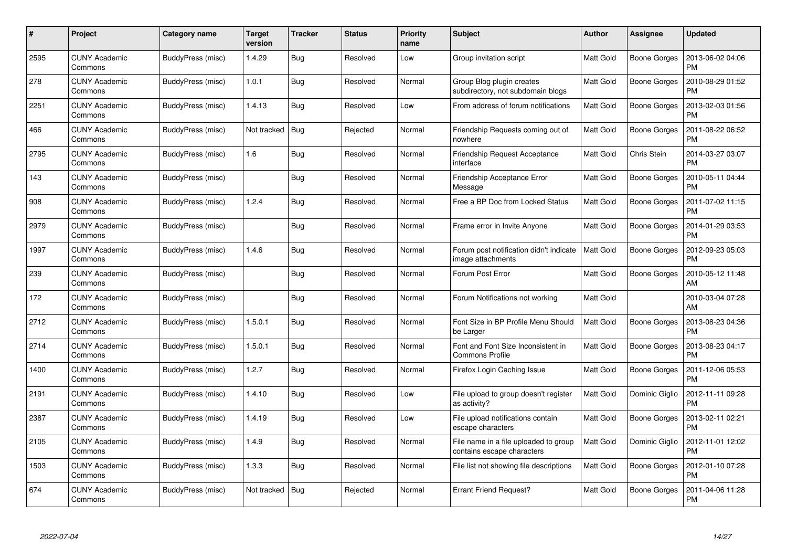| #    | Project                         | Category name     | <b>Target</b><br>version | <b>Tracker</b> | <b>Status</b> | <b>Priority</b><br>name | <b>Subject</b>                                                      | <b>Author</b>    | Assignee            | <b>Updated</b>                |
|------|---------------------------------|-------------------|--------------------------|----------------|---------------|-------------------------|---------------------------------------------------------------------|------------------|---------------------|-------------------------------|
| 2595 | <b>CUNY Academic</b><br>Commons | BuddyPress (misc) | 1.4.29                   | <b>Bug</b>     | Resolved      | Low                     | Group invitation script                                             | <b>Matt Gold</b> | <b>Boone Gorges</b> | 2013-06-02 04:06<br><b>PM</b> |
| 278  | <b>CUNY Academic</b><br>Commons | BuddyPress (misc) | 1.0.1                    | Bug            | Resolved      | Normal                  | Group Blog plugin creates<br>subdirectory, not subdomain blogs      | <b>Matt Gold</b> | Boone Gorges        | 2010-08-29 01:52<br>PM        |
| 2251 | <b>CUNY Academic</b><br>Commons | BuddyPress (misc) | 1.4.13                   | Bug            | Resolved      | Low                     | From address of forum notifications                                 | <b>Matt Gold</b> | <b>Boone Gorges</b> | 2013-02-03 01:56<br><b>PM</b> |
| 466  | <b>CUNY Academic</b><br>Commons | BuddyPress (misc) | Not tracked              | <b>Bug</b>     | Rejected      | Normal                  | Friendship Requests coming out of<br>nowhere                        | <b>Matt Gold</b> | Boone Gorges        | 2011-08-22 06:52<br><b>PM</b> |
| 2795 | <b>CUNY Academic</b><br>Commons | BuddyPress (misc) | 1.6                      | Bug            | Resolved      | Normal                  | <b>Friendship Request Acceptance</b><br>interface                   | <b>Matt Gold</b> | Chris Stein         | 2014-03-27 03:07<br><b>PM</b> |
| 143  | <b>CUNY Academic</b><br>Commons | BuddyPress (misc) |                          | Bug            | Resolved      | Normal                  | Friendship Acceptance Error<br>Message                              | Matt Gold        | Boone Gorges        | 2010-05-11 04:44<br><b>PM</b> |
| 908  | <b>CUNY Academic</b><br>Commons | BuddyPress (misc) | 1.2.4                    | <b>Bug</b>     | Resolved      | Normal                  | Free a BP Doc from Locked Status                                    | <b>Matt Gold</b> | Boone Gorges        | 2011-07-02 11:15<br><b>PM</b> |
| 2979 | <b>CUNY Academic</b><br>Commons | BuddyPress (misc) |                          | Bug            | Resolved      | Normal                  | Frame error in Invite Anyone                                        | Matt Gold        | Boone Gorges        | 2014-01-29 03:53<br><b>PM</b> |
| 1997 | <b>CUNY Academic</b><br>Commons | BuddyPress (misc) | 1.4.6                    | <b>Bug</b>     | Resolved      | Normal                  | Forum post notification didn't indicate<br>image attachments        | Matt Gold        | <b>Boone Gorges</b> | 2012-09-23 05:03<br><b>PM</b> |
| 239  | <b>CUNY Academic</b><br>Commons | BuddyPress (misc) |                          | Bug            | Resolved      | Normal                  | Forum Post Error                                                    | Matt Gold        | <b>Boone Gorges</b> | 2010-05-12 11:48<br>AM        |
| 172  | <b>CUNY Academic</b><br>Commons | BuddyPress (misc) |                          | <b>Bug</b>     | Resolved      | Normal                  | Forum Notifications not working                                     | Matt Gold        |                     | 2010-03-04 07:28<br>AM        |
| 2712 | <b>CUNY Academic</b><br>Commons | BuddyPress (misc) | 1.5.0.1                  | <b>Bug</b>     | Resolved      | Normal                  | Font Size in BP Profile Menu Should<br>be Larger                    | Matt Gold        | <b>Boone Gorges</b> | 2013-08-23 04:36<br>PM        |
| 2714 | <b>CUNY Academic</b><br>Commons | BuddyPress (misc) | 1.5.0.1                  | <b>Bug</b>     | Resolved      | Normal                  | Font and Font Size Inconsistent in<br><b>Commons Profile</b>        | <b>Matt Gold</b> | <b>Boone Gorges</b> | 2013-08-23 04:17<br><b>PM</b> |
| 1400 | <b>CUNY Academic</b><br>Commons | BuddyPress (misc) | 1.2.7                    | <b>Bug</b>     | Resolved      | Normal                  | Firefox Login Caching Issue                                         | Matt Gold        | <b>Boone Gorges</b> | 2011-12-06 05:53<br>PM        |
| 2191 | <b>CUNY Academic</b><br>Commons | BuddyPress (misc) | 1.4.10                   | <b>Bug</b>     | Resolved      | Low                     | File upload to group doesn't register<br>as activity?               | <b>Matt Gold</b> | Dominic Giglio      | 2012-11-11 09:28<br><b>PM</b> |
| 2387 | <b>CUNY Academic</b><br>Commons | BuddyPress (misc) | 1.4.19                   | Bug            | Resolved      | Low                     | File upload notifications contain<br>escape characters              | <b>Matt Gold</b> | Boone Gorges        | 2013-02-11 02:21<br>PM        |
| 2105 | <b>CUNY Academic</b><br>Commons | BuddyPress (misc) | 1.4.9                    | Bug            | Resolved      | Normal                  | File name in a file uploaded to group<br>contains escape characters | Matt Gold        | Dominic Giglio      | 2012-11-01 12:02<br><b>PM</b> |
| 1503 | <b>CUNY Academic</b><br>Commons | BuddyPress (misc) | 1.3.3                    | Bug            | Resolved      | Normal                  | File list not showing file descriptions                             | <b>Matt Gold</b> | <b>Boone Gorges</b> | 2012-01-10 07:28<br><b>PM</b> |
| 674  | CUNY Academic<br>Commons        | BuddyPress (misc) | Not tracked              | <b>Bug</b>     | Rejected      | Normal                  | <b>Errant Friend Request?</b>                                       | <b>Matt Gold</b> | Boone Gorges        | 2011-04-06 11:28<br>PM        |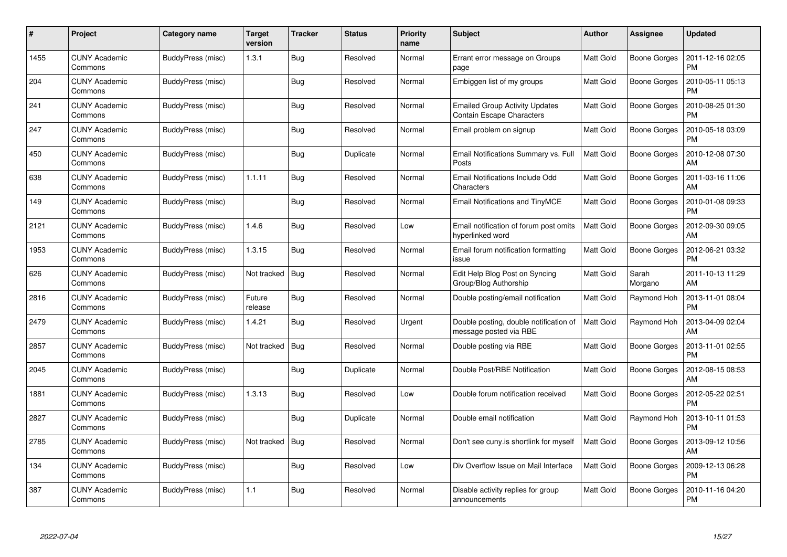| #    | Project                         | Category name     | Target<br>version | <b>Tracker</b> | <b>Status</b> | <b>Priority</b><br>name | <b>Subject</b>                                                            | <b>Author</b>    | <b>Assignee</b>     | <b>Updated</b>                |
|------|---------------------------------|-------------------|-------------------|----------------|---------------|-------------------------|---------------------------------------------------------------------------|------------------|---------------------|-------------------------------|
| 1455 | <b>CUNY Academic</b><br>Commons | BuddyPress (misc) | 1.3.1             | Bug            | Resolved      | Normal                  | Errant error message on Groups<br>page                                    | <b>Matt Gold</b> | Boone Gorges        | 2011-12-16 02:05<br><b>PM</b> |
| 204  | <b>CUNY Academic</b><br>Commons | BuddyPress (misc) |                   | Bug            | Resolved      | Normal                  | Embiggen list of my groups                                                | <b>Matt Gold</b> | Boone Gorges        | 2010-05-11 05:13<br><b>PM</b> |
| 241  | <b>CUNY Academic</b><br>Commons | BuddyPress (misc) |                   | <b>Bug</b>     | Resolved      | Normal                  | <b>Emailed Group Activity Updates</b><br><b>Contain Escape Characters</b> | <b>Matt Gold</b> | <b>Boone Gorges</b> | 2010-08-25 01:30<br><b>PM</b> |
| 247  | <b>CUNY Academic</b><br>Commons | BuddyPress (misc) |                   | Bug            | Resolved      | Normal                  | Email problem on signup                                                   | <b>Matt Gold</b> | Boone Gorges        | 2010-05-18 03:09<br><b>PM</b> |
| 450  | <b>CUNY Academic</b><br>Commons | BuddyPress (misc) |                   | <b>Bug</b>     | Duplicate     | Normal                  | Email Notifications Summary vs. Full<br>Posts                             | <b>Matt Gold</b> | <b>Boone Gorges</b> | 2010-12-08 07:30<br>AM        |
| 638  | <b>CUNY Academic</b><br>Commons | BuddyPress (misc) | 1.1.11            | <b>Bug</b>     | Resolved      | Normal                  | Email Notifications Include Odd<br>Characters                             | <b>Matt Gold</b> | Boone Gorges        | 2011-03-16 11:06<br>AM        |
| 149  | <b>CUNY Academic</b><br>Commons | BuddyPress (misc) |                   | Bug            | Resolved      | Normal                  | Email Notifications and TinyMCE                                           | <b>Matt Gold</b> | <b>Boone Gorges</b> | 2010-01-08 09:33<br><b>PM</b> |
| 2121 | <b>CUNY Academic</b><br>Commons | BuddyPress (misc) | 1.4.6             | <b>Bug</b>     | Resolved      | Low                     | Email notification of forum post omits<br>hyperlinked word                | Matt Gold        | Boone Gorges        | 2012-09-30 09:05<br>AM        |
| 1953 | <b>CUNY Academic</b><br>Commons | BuddyPress (misc) | 1.3.15            | Bug            | Resolved      | Normal                  | Email forum notification formatting<br>issue                              | Matt Gold        | <b>Boone Gorges</b> | 2012-06-21 03:32<br><b>PM</b> |
| 626  | <b>CUNY Academic</b><br>Commons | BuddyPress (misc) | Not tracked       | Bug            | Resolved      | Normal                  | Edit Help Blog Post on Syncing<br>Group/Blog Authorship                   | <b>Matt Gold</b> | Sarah<br>Morgano    | 2011-10-13 11:29<br>AM        |
| 2816 | <b>CUNY Academic</b><br>Commons | BuddyPress (misc) | Future<br>release | <b>Bug</b>     | Resolved      | Normal                  | Double posting/email notification                                         | <b>Matt Gold</b> | Raymond Hoh         | 2013-11-01 08:04<br><b>PM</b> |
| 2479 | <b>CUNY Academic</b><br>Commons | BuddyPress (misc) | 1.4.21            | Bug            | Resolved      | Urgent                  | Double posting, double notification of<br>message posted via RBE          | <b>Matt Gold</b> | Raymond Hoh         | 2013-04-09 02:04<br>AM        |
| 2857 | <b>CUNY Academic</b><br>Commons | BuddyPress (misc) | Not tracked       | Bug            | Resolved      | Normal                  | Double posting via RBE                                                    | <b>Matt Gold</b> | Boone Gorges        | 2013-11-01 02:55<br><b>PM</b> |
| 2045 | <b>CUNY Academic</b><br>Commons | BuddyPress (misc) |                   | <b>Bug</b>     | Duplicate     | Normal                  | Double Post/RBE Notification                                              | <b>Matt Gold</b> | <b>Boone Gorges</b> | 2012-08-15 08:53<br>AM        |
| 1881 | <b>CUNY Academic</b><br>Commons | BuddyPress (misc) | 1.3.13            | <b>Bug</b>     | Resolved      | Low                     | Double forum notification received                                        | <b>Matt Gold</b> | <b>Boone Gorges</b> | 2012-05-22 02:51<br><b>PM</b> |
| 2827 | <b>CUNY Academic</b><br>Commons | BuddyPress (misc) |                   | <b>Bug</b>     | Duplicate     | Normal                  | Double email notification                                                 | Matt Gold        | Raymond Hoh         | 2013-10-11 01:53<br><b>PM</b> |
| 2785 | <b>CUNY Academic</b><br>Commons | BuddyPress (misc) | Not tracked       | Bug            | Resolved      | Normal                  | Don't see cuny is shortlink for myself                                    | <b>Matt Gold</b> | <b>Boone Gorges</b> | 2013-09-12 10:56<br>AM        |
| 134  | <b>CUNY Academic</b><br>Commons | BuddyPress (misc) |                   | <b>Bug</b>     | Resolved      | Low                     | Div Overflow Issue on Mail Interface                                      | <b>Matt Gold</b> | Boone Gorges        | 2009-12-13 06:28<br><b>PM</b> |
| 387  | CUNY Academic<br>Commons        | BuddyPress (misc) | 1.1               | Bug            | Resolved      | Normal                  | Disable activity replies for group<br>announcements                       | <b>Matt Gold</b> | Boone Gorges        | 2010-11-16 04:20<br><b>PM</b> |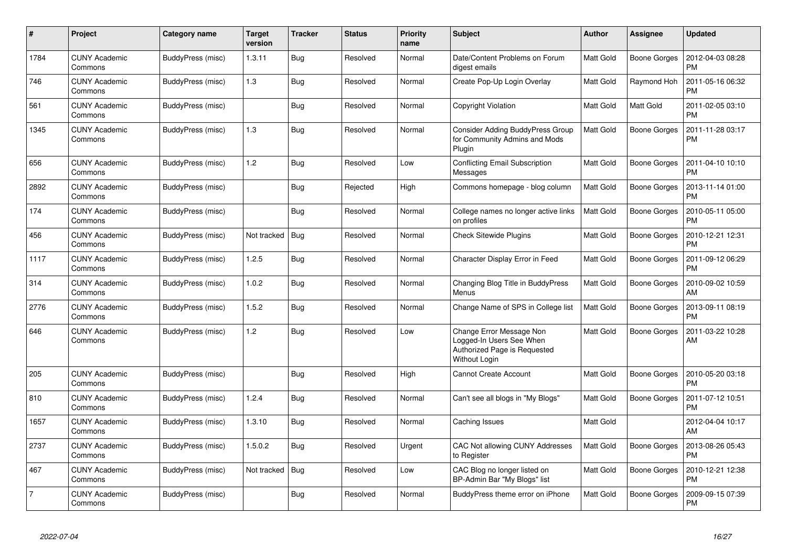| #              | Project                         | Category name     | Target<br>version | <b>Tracker</b> | <b>Status</b> | <b>Priority</b><br>name | <b>Subject</b>                                                                                               | <b>Author</b>    | Assignee            | <b>Updated</b>                |
|----------------|---------------------------------|-------------------|-------------------|----------------|---------------|-------------------------|--------------------------------------------------------------------------------------------------------------|------------------|---------------------|-------------------------------|
| 1784           | <b>CUNY Academic</b><br>Commons | BuddyPress (misc) | 1.3.11            | <b>Bug</b>     | Resolved      | Normal                  | Date/Content Problems on Forum<br>digest emails                                                              | Matt Gold        | Boone Gorges        | 2012-04-03 08:28<br><b>PM</b> |
| 746            | CUNY Academic<br>Commons        | BuddyPress (misc) | 1.3               | <b>Bug</b>     | Resolved      | Normal                  | Create Pop-Up Login Overlay                                                                                  | <b>Matt Gold</b> | Raymond Hoh         | 2011-05-16 06:32<br><b>PM</b> |
| 561            | <b>CUNY Academic</b><br>Commons | BuddyPress (misc) |                   | Bug            | Resolved      | Normal                  | Copyright Violation                                                                                          | <b>Matt Gold</b> | Matt Gold           | 2011-02-05 03:10<br><b>PM</b> |
| 1345           | CUNY Academic<br>Commons        | BuddyPress (misc) | 1.3               | <b>Bug</b>     | Resolved      | Normal                  | Consider Adding BuddyPress Group<br>for Community Admins and Mods<br>Plugin                                  | <b>Matt Gold</b> | <b>Boone Gorges</b> | 2011-11-28 03:17<br>PM        |
| 656            | CUNY Academic<br>Commons        | BuddyPress (misc) | 1.2               | Bug            | Resolved      | Low                     | <b>Conflicting Email Subscription</b><br>Messages                                                            | <b>Matt Gold</b> | Boone Gorges        | 2011-04-10 10:10<br><b>PM</b> |
| 2892           | <b>CUNY Academic</b><br>Commons | BuddyPress (misc) |                   | Bug            | Rejected      | High                    | Commons homepage - blog column                                                                               | <b>Matt Gold</b> | Boone Gorges        | 2013-11-14 01:00<br><b>PM</b> |
| 174            | CUNY Academic<br>Commons        | BuddyPress (misc) |                   | <b>Bug</b>     | Resolved      | Normal                  | College names no longer active links<br>on profiles                                                          | <b>Matt Gold</b> | <b>Boone Gorges</b> | 2010-05-11 05:00<br><b>PM</b> |
| 456            | <b>CUNY Academic</b><br>Commons | BuddyPress (misc) | Not tracked       | <b>Bug</b>     | Resolved      | Normal                  | <b>Check Sitewide Plugins</b>                                                                                | <b>Matt Gold</b> | <b>Boone Gorges</b> | 2010-12-21 12:31<br><b>PM</b> |
| 1117           | <b>CUNY Academic</b><br>Commons | BuddyPress (misc) | 1.2.5             | <b>Bug</b>     | Resolved      | Normal                  | Character Display Error in Feed                                                                              | Matt Gold        | Boone Gorges        | 2011-09-12 06:29<br><b>PM</b> |
| 314            | <b>CUNY Academic</b><br>Commons | BuddyPress (misc) | 1.0.2             | <b>Bug</b>     | Resolved      | Normal                  | Changing Blog Title in BuddyPress<br>Menus                                                                   | Matt Gold        | <b>Boone Gorges</b> | 2010-09-02 10:59<br>AM        |
| 2776           | <b>CUNY Academic</b><br>Commons | BuddyPress (misc) | 1.5.2             | Bug            | Resolved      | Normal                  | Change Name of SPS in College list                                                                           | <b>Matt Gold</b> | <b>Boone Gorges</b> | 2013-09-11 08:19<br><b>PM</b> |
| 646            | CUNY Academic<br>Commons        | BuddyPress (misc) | 1.2               | <b>Bug</b>     | Resolved      | Low                     | Change Error Message Non<br>Logged-In Users See When<br>Authorized Page is Requested<br><b>Without Login</b> | <b>Matt Gold</b> | Boone Gorges        | 2011-03-22 10:28<br>AM        |
| 205            | <b>CUNY Academic</b><br>Commons | BuddyPress (misc) |                   | Bug            | Resolved      | High                    | <b>Cannot Create Account</b>                                                                                 | <b>Matt Gold</b> | Boone Gorges        | 2010-05-20 03:18<br><b>PM</b> |
| 810            | <b>CUNY Academic</b><br>Commons | BuddyPress (misc) | 1.2.4             | <b>Bug</b>     | Resolved      | Normal                  | Can't see all blogs in "My Blogs"                                                                            | <b>Matt Gold</b> | <b>Boone Gorges</b> | 2011-07-12 10:51<br><b>PM</b> |
| 1657           | <b>CUNY Academic</b><br>Commons | BuddyPress (misc) | 1.3.10            | Bug            | Resolved      | Normal                  | Caching Issues                                                                                               | Matt Gold        |                     | 2012-04-04 10:17<br>AM        |
| 2737           | <b>CUNY Academic</b><br>Commons | BuddyPress (misc) | 1.5.0.2           | <b>Bug</b>     | Resolved      | Urgent                  | CAC Not allowing CUNY Addresses<br>to Register                                                               | <b>Matt Gold</b> | Boone Gorges        | 2013-08-26 05:43<br><b>PM</b> |
| 467            | <b>CUNY Academic</b><br>Commons | BuddyPress (misc) | Not tracked       | <b>Bug</b>     | Resolved      | Low                     | CAC Blog no longer listed on<br>BP-Admin Bar "My Blogs" list                                                 | <b>Matt Gold</b> | Boone Gorges        | 2010-12-21 12:38<br><b>PM</b> |
| $\overline{7}$ | CUNY Academic<br>Commons        | BuddyPress (misc) |                   | <b>Bug</b>     | Resolved      | Normal                  | BuddyPress theme error on iPhone                                                                             | <b>Matt Gold</b> | Boone Gorges        | 2009-09-15 07:39<br>PM        |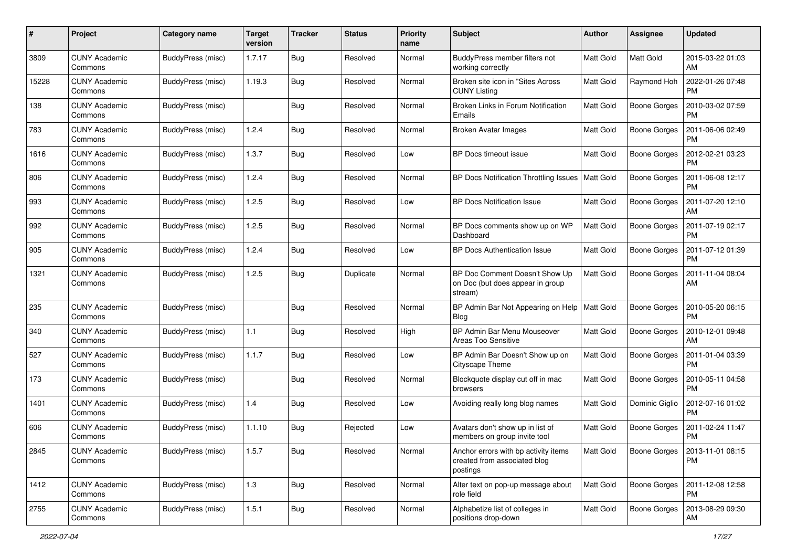| #     | Project                         | <b>Category name</b>     | <b>Target</b><br>version | <b>Tracker</b> | <b>Status</b> | <b>Priority</b><br>name | <b>Subject</b>                                                                   | Author           | <b>Assignee</b>     | <b>Updated</b>                |
|-------|---------------------------------|--------------------------|--------------------------|----------------|---------------|-------------------------|----------------------------------------------------------------------------------|------------------|---------------------|-------------------------------|
| 3809  | <b>CUNY Academic</b><br>Commons | <b>BuddyPress (misc)</b> | 1.7.17                   | Bug            | Resolved      | Normal                  | BuddyPress member filters not<br>working correctly                               | <b>Matt Gold</b> | Matt Gold           | 2015-03-22 01:03<br>AM        |
| 15228 | <b>CUNY Academic</b><br>Commons | BuddyPress (misc)        | 1.19.3                   | <b>Bug</b>     | Resolved      | Normal                  | Broken site icon in "Sites Across<br><b>CUNY Listing</b>                         | <b>Matt Gold</b> | Raymond Hoh         | 2022-01-26 07:48<br><b>PM</b> |
| 138   | <b>CUNY Academic</b><br>Commons | BuddyPress (misc)        |                          | Bug            | Resolved      | Normal                  | Broken Links in Forum Notification<br>Emails                                     | Matt Gold        | <b>Boone Gorges</b> | 2010-03-02 07:59<br><b>PM</b> |
| 783   | <b>CUNY Academic</b><br>Commons | BuddyPress (misc)        | 1.2.4                    | Bug            | Resolved      | Normal                  | <b>Broken Avatar Images</b>                                                      | <b>Matt Gold</b> | <b>Boone Gorges</b> | 2011-06-06 02:49<br><b>PM</b> |
| 1616  | <b>CUNY Academic</b><br>Commons | BuddyPress (misc)        | 1.3.7                    | Bug            | Resolved      | Low                     | BP Docs timeout issue                                                            | <b>Matt Gold</b> | <b>Boone Gorges</b> | 2012-02-21 03:23<br>PM        |
| 806   | <b>CUNY Academic</b><br>Commons | BuddyPress (misc)        | 1.2.4                    | <b>Bug</b>     | Resolved      | Normal                  | BP Docs Notification Throttling Issues   Matt Gold                               |                  | <b>Boone Gorges</b> | 2011-06-08 12:17<br><b>PM</b> |
| 993   | <b>CUNY Academic</b><br>Commons | BuddyPress (misc)        | 1.2.5                    | Bug            | Resolved      | Low                     | <b>BP Docs Notification Issue</b>                                                | <b>Matt Gold</b> | Boone Gorges        | 2011-07-20 12:10<br>AM        |
| 992   | <b>CUNY Academic</b><br>Commons | BuddyPress (misc)        | 1.2.5                    | Bug            | Resolved      | Normal                  | BP Docs comments show up on WP<br>Dashboard                                      | Matt Gold        | <b>Boone Gorges</b> | 2011-07-19 02:17<br>PM        |
| 905   | <b>CUNY Academic</b><br>Commons | BuddyPress (misc)        | 1.2.4                    | Bug            | Resolved      | Low                     | <b>BP Docs Authentication Issue</b>                                              | <b>Matt Gold</b> | <b>Boone Gorges</b> | 2011-07-12 01:39<br><b>PM</b> |
| 1321  | <b>CUNY Academic</b><br>Commons | BuddyPress (misc)        | 1.2.5                    | Bug            | Duplicate     | Normal                  | BP Doc Comment Doesn't Show Up<br>on Doc (but does appear in group<br>stream)    | Matt Gold        | <b>Boone Gorges</b> | 2011-11-04 08:04<br>AM        |
| 235   | <b>CUNY Academic</b><br>Commons | BuddyPress (misc)        |                          | Bug            | Resolved      | Normal                  | BP Admin Bar Not Appearing on Help<br>Blog                                       | Matt Gold        | <b>Boone Gorges</b> | 2010-05-20 06:15<br><b>PM</b> |
| 340   | <b>CUNY Academic</b><br>Commons | BuddyPress (misc)        | 1.1                      | Bug            | Resolved      | High                    | BP Admin Bar Menu Mouseover<br>Areas Too Sensitive                               | <b>Matt Gold</b> | <b>Boone Gorges</b> | 2010-12-01 09:48<br>AM        |
| 527   | <b>CUNY Academic</b><br>Commons | BuddyPress (misc)        | 1.1.7                    | Bug            | Resolved      | Low                     | BP Admin Bar Doesn't Show up on<br>Cityscape Theme                               | Matt Gold        | <b>Boone Gorges</b> | 2011-01-04 03:39<br><b>PM</b> |
| 173   | <b>CUNY Academic</b><br>Commons | BuddyPress (misc)        |                          | <b>Bug</b>     | Resolved      | Normal                  | Blockquote display cut off in mac<br>browsers                                    | Matt Gold        | <b>Boone Gorges</b> | 2010-05-11 04:58<br><b>PM</b> |
| 1401  | <b>CUNY Academic</b><br>Commons | BuddyPress (misc)        | 1.4                      | <b>Bug</b>     | Resolved      | Low                     | Avoiding really long blog names                                                  | <b>Matt Gold</b> | Dominic Giglio      | 2012-07-16 01:02<br><b>PM</b> |
| 606   | <b>CUNY Academic</b><br>Commons | BuddyPress (misc)        | 1.1.10                   | <b>Bug</b>     | Rejected      | Low                     | Avatars don't show up in list of<br>members on group invite tool                 | <b>Matt Gold</b> | <b>Boone Gorges</b> | 2011-02-24 11:47<br><b>PM</b> |
| 2845  | <b>CUNY Academic</b><br>Commons | BuddyPress (misc)        | 1.5.7                    | <b>Bug</b>     | Resolved      | Normal                  | Anchor errors with bp activity items<br>created from associated blog<br>postings | <b>Matt Gold</b> | Boone Gorges        | 2013-11-01 08:15<br><b>PM</b> |
| 1412  | <b>CUNY Academic</b><br>Commons | BuddyPress (misc)        | 1.3                      | <b>Bug</b>     | Resolved      | Normal                  | Alter text on pop-up message about<br>role field                                 | Matt Gold        | Boone Gorges        | 2011-12-08 12:58<br><b>PM</b> |
| 2755  | <b>CUNY Academic</b><br>Commons | BuddyPress (misc)        | 1.5.1                    | <b>Bug</b>     | Resolved      | Normal                  | Alphabetize list of colleges in<br>positions drop-down                           | Matt Gold        | <b>Boone Gorges</b> | 2013-08-29 09:30<br>AM        |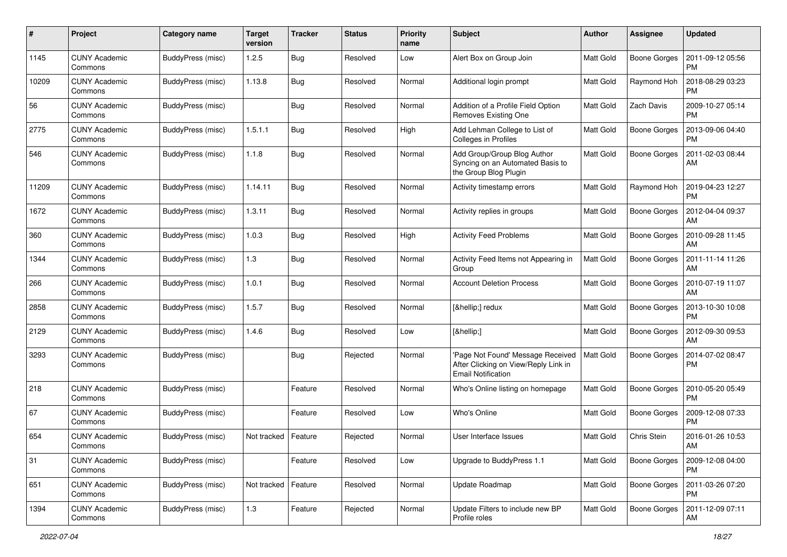| #     | Project                         | Category name     | <b>Target</b><br>version | <b>Tracker</b> | <b>Status</b> | <b>Priority</b><br>name | <b>Subject</b>                                                                                         | Author           | Assignee            | <b>Updated</b>                |
|-------|---------------------------------|-------------------|--------------------------|----------------|---------------|-------------------------|--------------------------------------------------------------------------------------------------------|------------------|---------------------|-------------------------------|
| 1145  | <b>CUNY Academic</b><br>Commons | BuddyPress (misc) | 1.2.5                    | Bug            | Resolved      | Low                     | Alert Box on Group Join                                                                                | Matt Gold        | <b>Boone Gorges</b> | 2011-09-12 05:56<br><b>PM</b> |
| 10209 | <b>CUNY Academic</b><br>Commons | BuddyPress (misc) | 1.13.8                   | <b>Bug</b>     | Resolved      | Normal                  | Additional login prompt                                                                                | Matt Gold        | Raymond Hoh         | 2018-08-29 03:23<br><b>PM</b> |
| 56    | CUNY Academic<br>Commons        | BuddyPress (misc) |                          | <b>Bug</b>     | Resolved      | Normal                  | Addition of a Profile Field Option<br>Removes Existing One                                             | Matt Gold        | Zach Davis          | 2009-10-27 05:14<br><b>PM</b> |
| 2775  | <b>CUNY Academic</b><br>Commons | BuddyPress (misc) | 1.5.1.1                  | Bug            | Resolved      | High                    | Add Lehman College to List of<br>Colleges in Profiles                                                  | <b>Matt Gold</b> | <b>Boone Gorges</b> | 2013-09-06 04:40<br><b>PM</b> |
| 546   | <b>CUNY Academic</b><br>Commons | BuddyPress (misc) | 1.1.8                    | Bug            | Resolved      | Normal                  | Add Group/Group Blog Author<br>Syncing on an Automated Basis to<br>the Group Blog Plugin               | Matt Gold        | <b>Boone Gorges</b> | 2011-02-03 08:44<br>AM        |
| 11209 | <b>CUNY Academic</b><br>Commons | BuddyPress (misc) | 1.14.11                  | Bug            | Resolved      | Normal                  | Activity timestamp errors                                                                              | Matt Gold        | Raymond Hoh         | 2019-04-23 12:27<br><b>PM</b> |
| 1672  | <b>CUNY Academic</b><br>Commons | BuddyPress (misc) | 1.3.11                   | Bug            | Resolved      | Normal                  | Activity replies in groups                                                                             | <b>Matt Gold</b> | Boone Gorges        | 2012-04-04 09:37<br>AM        |
| 360   | <b>CUNY Academic</b><br>Commons | BuddyPress (misc) | 1.0.3                    | Bug            | Resolved      | High                    | <b>Activity Feed Problems</b>                                                                          | <b>Matt Gold</b> | Boone Gorges        | 2010-09-28 11:45<br>AM        |
| 1344  | <b>CUNY Academic</b><br>Commons | BuddyPress (misc) | 1.3                      | Bug            | Resolved      | Normal                  | Activity Feed Items not Appearing in<br>Group                                                          | Matt Gold        | <b>Boone Gorges</b> | 2011-11-14 11:26<br>AM        |
| 266   | <b>CUNY Academic</b><br>Commons | BuddyPress (misc) | 1.0.1                    | Bug            | Resolved      | Normal                  | <b>Account Deletion Process</b>                                                                        | <b>Matt Gold</b> | Boone Gorges        | 2010-07-19 11:07<br><b>AM</b> |
| 2858  | <b>CUNY Academic</b><br>Commons | BuddyPress (misc) | 1.5.7                    | Bug            | Resolved      | Normal                  | […] redux                                                                                              | Matt Gold        | <b>Boone Gorges</b> | 2013-10-30 10:08<br><b>PM</b> |
| 2129  | <b>CUNY Academic</b><br>Commons | BuddyPress (misc) | 1.4.6                    | Bug            | Resolved      | Low                     | […]                                                                                                    | <b>Matt Gold</b> | <b>Boone Gorges</b> | 2012-09-30 09:53<br>AM        |
| 3293  | <b>CUNY Academic</b><br>Commons | BuddyPress (misc) |                          | <b>Bug</b>     | Rejected      | Normal                  | 'Page Not Found' Message Received<br>After Clicking on View/Reply Link in<br><b>Email Notification</b> | <b>Matt Gold</b> | Boone Gorges        | 2014-07-02 08:47<br><b>PM</b> |
| 218   | <b>CUNY Academic</b><br>Commons | BuddyPress (misc) |                          | Feature        | Resolved      | Normal                  | Who's Online listing on homepage                                                                       | Matt Gold        | <b>Boone Gorges</b> | 2010-05-20 05:49<br><b>PM</b> |
| 67    | <b>CUNY Academic</b><br>Commons | BuddyPress (misc) |                          | Feature        | Resolved      | Low                     | Who's Online                                                                                           | Matt Gold        | Boone Gorges        | 2009-12-08 07:33<br><b>PM</b> |
| 654   | <b>CUNY Academic</b><br>Commons | BuddyPress (misc) | Not tracked              | Feature        | Rejected      | Normal                  | User Interface Issues                                                                                  | Matt Gold        | Chris Stein         | 2016-01-26 10:53<br>AM        |
| 31    | <b>CUNY Academic</b><br>Commons | BuddyPress (misc) |                          | Feature        | Resolved      | Low                     | Upgrade to BuddyPress 1.1                                                                              | Matt Gold        | Boone Gorges        | 2009-12-08 04:00<br><b>PM</b> |
| 651   | <b>CUNY Academic</b><br>Commons | BuddyPress (misc) | Not tracked              | Feature        | Resolved      | Normal                  | Update Roadmap                                                                                         | Matt Gold        | Boone Gorges        | 2011-03-26 07:20<br><b>PM</b> |
| 1394  | <b>CUNY Academic</b><br>Commons | BuddyPress (misc) | 1.3                      | Feature        | Rejected      | Normal                  | Update Filters to include new BP<br>Profile roles                                                      | Matt Gold        | Boone Gorges        | 2011-12-09 07:11<br>AM        |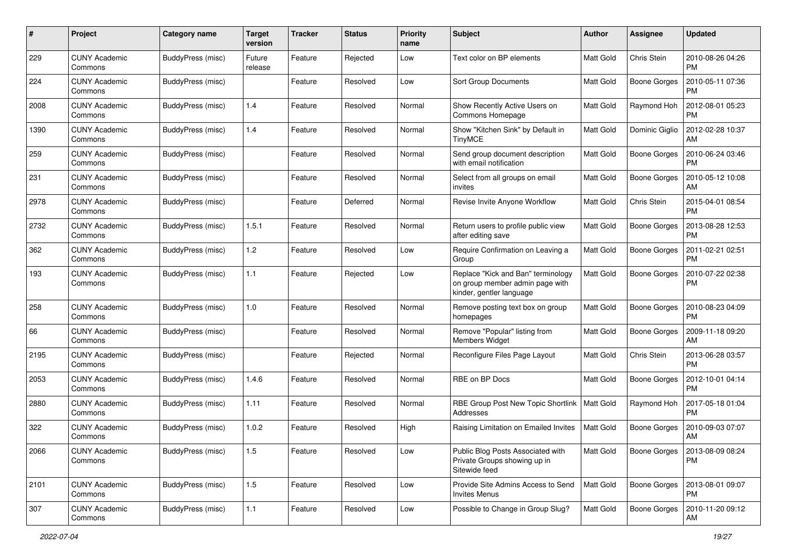| #    | Project                         | Category name     | <b>Target</b><br>version | <b>Tracker</b> | <b>Status</b> | <b>Priority</b><br>name | Subject                                                                                           | Author           | Assignee            | <b>Updated</b>                |
|------|---------------------------------|-------------------|--------------------------|----------------|---------------|-------------------------|---------------------------------------------------------------------------------------------------|------------------|---------------------|-------------------------------|
| 229  | <b>CUNY Academic</b><br>Commons | BuddyPress (misc) | Future<br>release        | Feature        | Rejected      | Low                     | Text color on BP elements                                                                         | <b>Matt Gold</b> | Chris Stein         | 2010-08-26 04:26<br><b>PM</b> |
| 224  | <b>CUNY Academic</b><br>Commons | BuddyPress (misc) |                          | Feature        | Resolved      | Low                     | Sort Group Documents                                                                              | Matt Gold        | <b>Boone Gorges</b> | 2010-05-11 07:36<br><b>PM</b> |
| 2008 | <b>CUNY Academic</b><br>Commons | BuddyPress (misc) | 1.4                      | Feature        | Resolved      | Normal                  | Show Recently Active Users on<br>Commons Homepage                                                 | <b>Matt Gold</b> | Raymond Hoh         | 2012-08-01 05:23<br><b>PM</b> |
| 1390 | <b>CUNY Academic</b><br>Commons | BuddyPress (misc) | 1.4                      | Feature        | Resolved      | Normal                  | Show "Kitchen Sink" by Default in<br><b>TinyMCE</b>                                               | Matt Gold        | Dominic Giglio      | 2012-02-28 10:37<br>АM        |
| 259  | <b>CUNY Academic</b><br>Commons | BuddyPress (misc) |                          | Feature        | Resolved      | Normal                  | Send group document description<br>with email notification                                        | Matt Gold        | <b>Boone Gorges</b> | 2010-06-24 03:46<br>PM        |
| 231  | <b>CUNY Academic</b><br>Commons | BuddyPress (misc) |                          | Feature        | Resolved      | Normal                  | Select from all groups on email<br>invites                                                        | <b>Matt Gold</b> | Boone Gorges        | 2010-05-12 10:08<br>AM        |
| 2978 | <b>CUNY Academic</b><br>Commons | BuddyPress (misc) |                          | Feature        | Deferred      | Normal                  | Revise Invite Anyone Workflow                                                                     | Matt Gold        | Chris Stein         | 2015-04-01 08:54<br><b>PM</b> |
| 2732 | <b>CUNY Academic</b><br>Commons | BuddyPress (misc) | 1.5.1                    | Feature        | Resolved      | Normal                  | Return users to profile public view<br>after editing save                                         | Matt Gold        | <b>Boone Gorges</b> | 2013-08-28 12:53<br>PM        |
| 362  | <b>CUNY Academic</b><br>Commons | BuddyPress (misc) | 1.2                      | Feature        | Resolved      | Low                     | Require Confirmation on Leaving a<br>Group                                                        | <b>Matt Gold</b> | <b>Boone Gorges</b> | 2011-02-21 02:51<br><b>PM</b> |
| 193  | <b>CUNY Academic</b><br>Commons | BuddyPress (misc) | 1.1                      | Feature        | Rejected      | Low                     | Replace "Kick and Ban" terminology<br>on group member admin page with<br>kinder, gentler language | <b>Matt Gold</b> | <b>Boone Gorges</b> | 2010-07-22 02:38<br><b>PM</b> |
| 258  | <b>CUNY Academic</b><br>Commons | BuddyPress (misc) | 1.0                      | Feature        | Resolved      | Normal                  | Remove posting text box on group<br>homepages                                                     | Matt Gold        | <b>Boone Gorges</b> | 2010-08-23 04:09<br><b>PM</b> |
| 66   | <b>CUNY Academic</b><br>Commons | BuddyPress (misc) |                          | Feature        | Resolved      | Normal                  | Remove "Popular" listing from<br><b>Members Widget</b>                                            | <b>Matt Gold</b> | <b>Boone Gorges</b> | 2009-11-18 09:20<br>АM        |
| 2195 | <b>CUNY Academic</b><br>Commons | BuddyPress (misc) |                          | Feature        | Rejected      | Normal                  | Reconfigure Files Page Layout                                                                     | <b>Matt Gold</b> | Chris Stein         | 2013-06-28 03:57<br><b>PM</b> |
| 2053 | <b>CUNY Academic</b><br>Commons | BuddyPress (misc) | 1.4.6                    | Feature        | Resolved      | Normal                  | RBE on BP Docs                                                                                    | <b>Matt Gold</b> | <b>Boone Gorges</b> | 2012-10-01 04:14<br><b>PM</b> |
| 2880 | <b>CUNY Academic</b><br>Commons | BuddyPress (misc) | 1.11                     | Feature        | Resolved      | Normal                  | RBE Group Post New Topic Shortlink<br>Addresses                                                   | <b>Matt Gold</b> | Raymond Hoh         | 2017-05-18 01:04<br><b>PM</b> |
| 322  | <b>CUNY Academic</b><br>Commons | BuddyPress (misc) | 1.0.2                    | Feature        | Resolved      | High                    | Raising Limitation on Emailed Invites                                                             | <b>Matt Gold</b> | <b>Boone Gorges</b> | 2010-09-03 07:07<br>АM        |
| 2066 | <b>CUNY Academic</b><br>Commons | BuddyPress (misc) | 1.5                      | Feature        | Resolved      | Low                     | Public Blog Posts Associated with<br>Private Groups showing up in<br>Sitewide feed                | Matt Gold        | <b>Boone Gorges</b> | 2013-08-09 08:24<br><b>PM</b> |
| 2101 | <b>CUNY Academic</b><br>Commons | BuddyPress (misc) | $1.5\,$                  | Feature        | Resolved      | Low                     | Provide Site Admins Access to Send<br><b>Invites Menus</b>                                        | Matt Gold        | <b>Boone Gorges</b> | 2013-08-01 09:07<br><b>PM</b> |
| 307  | <b>CUNY Academic</b><br>Commons | BuddyPress (misc) | 1.1                      | Feature        | Resolved      | Low                     | Possible to Change in Group Slug?                                                                 | Matt Gold        | <b>Boone Gorges</b> | 2010-11-20 09:12<br>AM        |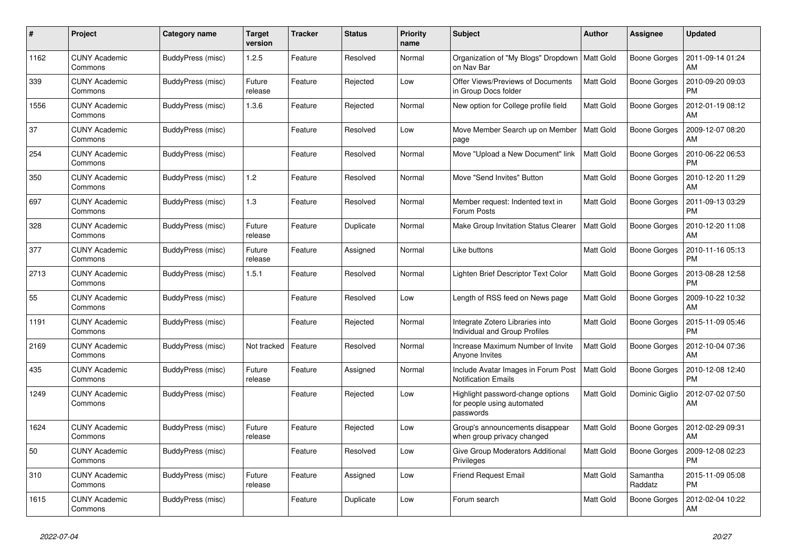| #    | Project                         | Category name     | <b>Target</b><br>version | <b>Tracker</b> | <b>Status</b> | <b>Priority</b><br>name | <b>Subject</b>                                                               | <b>Author</b>    | Assignee            | <b>Updated</b>                |
|------|---------------------------------|-------------------|--------------------------|----------------|---------------|-------------------------|------------------------------------------------------------------------------|------------------|---------------------|-------------------------------|
| 1162 | <b>CUNY Academic</b><br>Commons | BuddyPress (misc) | 1.2.5                    | Feature        | Resolved      | Normal                  | Organization of "My Blogs" Dropdown<br>on Nav Bar                            | <b>Matt Gold</b> | Boone Gorges        | 2011-09-14 01:24<br>AM        |
| 339  | <b>CUNY Academic</b><br>Commons | BuddyPress (misc) | Future<br>release        | Feature        | Rejected      | Low                     | Offer Views/Previews of Documents<br>in Group Docs folder                    | <b>Matt Gold</b> | <b>Boone Gorges</b> | 2010-09-20 09:03<br><b>PM</b> |
| 1556 | <b>CUNY Academic</b><br>Commons | BuddyPress (misc) | 1.3.6                    | Feature        | Rejected      | Normal                  | New option for College profile field                                         | <b>Matt Gold</b> | <b>Boone Gorges</b> | 2012-01-19 08:12<br>AM        |
| 37   | <b>CUNY Academic</b><br>Commons | BuddyPress (misc) |                          | Feature        | Resolved      | Low                     | Move Member Search up on Member<br>page                                      | <b>Matt Gold</b> | Boone Gorges        | 2009-12-07 08:20<br>AM        |
| 254  | <b>CUNY Academic</b><br>Commons | BuddyPress (misc) |                          | Feature        | Resolved      | Normal                  | Move "Upload a New Document" link                                            | <b>Matt Gold</b> | <b>Boone Gorges</b> | 2010-06-22 06:53<br>PM        |
| 350  | <b>CUNY Academic</b><br>Commons | BuddyPress (misc) | 1.2                      | Feature        | Resolved      | Normal                  | Move "Send Invites" Button                                                   | <b>Matt Gold</b> | <b>Boone Gorges</b> | 2010-12-20 11:29<br>AM        |
| 697  | <b>CUNY Academic</b><br>Commons | BuddyPress (misc) | 1.3                      | Feature        | Resolved      | Normal                  | Member request: Indented text in<br>Forum Posts                              | <b>Matt Gold</b> | Boone Gorges        | 2011-09-13 03:29<br><b>PM</b> |
| 328  | <b>CUNY Academic</b><br>Commons | BuddyPress (misc) | Future<br>release        | Feature        | Duplicate     | Normal                  | Make Group Invitation Status Clearer                                         | <b>Matt Gold</b> | <b>Boone Gorges</b> | 2010-12-20 11:08<br>AM        |
| 377  | <b>CUNY Academic</b><br>Commons | BuddyPress (misc) | Future<br>release        | Feature        | Assigned      | Normal                  | Like buttons                                                                 | <b>Matt Gold</b> | <b>Boone Gorges</b> | 2010-11-16 05:13<br><b>PM</b> |
| 2713 | <b>CUNY Academic</b><br>Commons | BuddyPress (misc) | 1.5.1                    | Feature        | Resolved      | Normal                  | Lighten Brief Descriptor Text Color                                          | <b>Matt Gold</b> | Boone Gorges        | 2013-08-28 12:58<br><b>PM</b> |
| 55   | <b>CUNY Academic</b><br>Commons | BuddyPress (misc) |                          | Feature        | Resolved      | Low                     | Length of RSS feed on News page                                              | <b>Matt Gold</b> | Boone Gorges        | 2009-10-22 10:32<br>AM        |
| 1191 | <b>CUNY Academic</b><br>Commons | BuddyPress (misc) |                          | Feature        | Rejected      | Normal                  | Integrate Zotero Libraries into<br>Individual and Group Profiles             | Matt Gold        | <b>Boone Gorges</b> | 2015-11-09 05:46<br><b>PM</b> |
| 2169 | <b>CUNY Academic</b><br>Commons | BuddyPress (misc) | Not tracked              | Feature        | Resolved      | Normal                  | Increase Maximum Number of Invite<br>Anyone Invites                          | Matt Gold        | Boone Gorges        | 2012-10-04 07:36<br>AM        |
| 435  | <b>CUNY Academic</b><br>Commons | BuddyPress (misc) | Future<br>release        | Feature        | Assigned      | Normal                  | Include Avatar Images in Forum Post<br><b>Notification Emails</b>            | <b>Matt Gold</b> | <b>Boone Gorges</b> | 2010-12-08 12:40<br><b>PM</b> |
| 1249 | <b>CUNY Academic</b><br>Commons | BuddyPress (misc) |                          | Feature        | Rejected      | Low                     | Highlight password-change options<br>for people using automated<br>passwords | <b>Matt Gold</b> | Dominic Giglio      | 2012-07-02 07:50<br>AM        |
| 1624 | <b>CUNY Academic</b><br>Commons | BuddyPress (misc) | Future<br>release        | Feature        | Rejected      | Low                     | Group's announcements disappear<br>when group privacy changed                | <b>Matt Gold</b> | <b>Boone Gorges</b> | 2012-02-29 09:31<br>AM        |
| 50   | <b>CUNY Academic</b><br>Commons | BuddyPress (misc) |                          | Feature        | Resolved      | Low                     | Give Group Moderators Additional<br>Privileges                               | <b>Matt Gold</b> | Boone Gorges        | 2009-12-08 02:23<br><b>PM</b> |
| 310  | <b>CUNY Academic</b><br>Commons | BuddyPress (misc) | Future<br>release        | Feature        | Assigned      | Low                     | <b>Friend Request Email</b>                                                  | <b>Matt Gold</b> | Samantha<br>Raddatz | 2015-11-09 05:08<br><b>PM</b> |
| 1615 | <b>CUNY Academic</b><br>Commons | BuddyPress (misc) |                          | Feature        | Duplicate     | Low                     | Forum search                                                                 | <b>Matt Gold</b> | Boone Gorges        | 2012-02-04 10:22<br>AM        |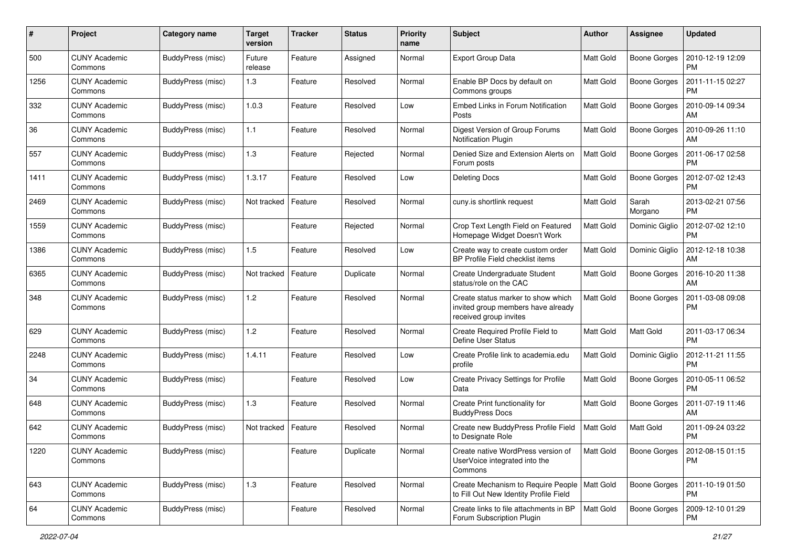| #    | Project                         | <b>Category name</b> | <b>Target</b><br>version | <b>Tracker</b> | <b>Status</b> | <b>Priority</b><br>name | <b>Subject</b>                                                                                     | Author           | <b>Assignee</b>     | <b>Updated</b>                |
|------|---------------------------------|----------------------|--------------------------|----------------|---------------|-------------------------|----------------------------------------------------------------------------------------------------|------------------|---------------------|-------------------------------|
| 500  | <b>CUNY Academic</b><br>Commons | BuddyPress (misc)    | Future<br>release        | Feature        | Assigned      | Normal                  | <b>Export Group Data</b>                                                                           | Matt Gold        | Boone Gorges        | 2010-12-19 12:09<br>PM        |
| 1256 | <b>CUNY Academic</b><br>Commons | BuddyPress (misc)    | 1.3                      | Feature        | Resolved      | Normal                  | Enable BP Docs by default on<br>Commons groups                                                     | Matt Gold        | <b>Boone Gorges</b> | 2011-11-15 02:27<br><b>PM</b> |
| 332  | <b>CUNY Academic</b><br>Commons | BuddyPress (misc)    | 1.0.3                    | Feature        | Resolved      | Low                     | Embed Links in Forum Notification<br>Posts                                                         | Matt Gold        | <b>Boone Gorges</b> | 2010-09-14 09:34<br>AM        |
| 36   | <b>CUNY Academic</b><br>Commons | BuddyPress (misc)    | 1.1                      | Feature        | Resolved      | Normal                  | Digest Version of Group Forums<br>Notification Plugin                                              | <b>Matt Gold</b> | <b>Boone Gorges</b> | 2010-09-26 11:10<br>AM        |
| 557  | <b>CUNY Academic</b><br>Commons | BuddyPress (misc)    | 1.3                      | Feature        | Rejected      | Normal                  | Denied Size and Extension Alerts on<br>Forum posts                                                 | <b>Matt Gold</b> | <b>Boone Gorges</b> | 2011-06-17 02:58<br>PM        |
| 1411 | <b>CUNY Academic</b><br>Commons | BuddyPress (misc)    | 1.3.17                   | Feature        | Resolved      | Low                     | <b>Deleting Docs</b>                                                                               | <b>Matt Gold</b> | <b>Boone Gorges</b> | 2012-07-02 12:43<br><b>PM</b> |
| 2469 | <b>CUNY Academic</b><br>Commons | BuddyPress (misc)    | Not tracked              | Feature        | Resolved      | Normal                  | cuny.is shortlink request                                                                          | <b>Matt Gold</b> | Sarah<br>Morgano    | 2013-02-21 07:56<br><b>PM</b> |
| 1559 | <b>CUNY Academic</b><br>Commons | BuddyPress (misc)    |                          | Feature        | Rejected      | Normal                  | Crop Text Length Field on Featured<br>Homepage Widget Doesn't Work                                 | Matt Gold        | Dominic Giglio      | 2012-07-02 12:10<br>PM        |
| 1386 | <b>CUNY Academic</b><br>Commons | BuddyPress (misc)    | 1.5                      | Feature        | Resolved      | Low                     | Create way to create custom order<br>BP Profile Field checklist items                              | <b>Matt Gold</b> | Dominic Giglio      | 2012-12-18 10:38<br><b>AM</b> |
| 6365 | <b>CUNY Academic</b><br>Commons | BuddyPress (misc)    | Not tracked              | Feature        | Duplicate     | Normal                  | Create Undergraduate Student<br>status/role on the CAC                                             | Matt Gold        | <b>Boone Gorges</b> | 2016-10-20 11:38<br>AM        |
| 348  | <b>CUNY Academic</b><br>Commons | BuddyPress (misc)    | 1.2                      | Feature        | Resolved      | Normal                  | Create status marker to show which<br>invited group members have already<br>received group invites | <b>Matt Gold</b> | <b>Boone Gorges</b> | 2011-03-08 09:08<br><b>PM</b> |
| 629  | <b>CUNY Academic</b><br>Commons | BuddyPress (misc)    | 1.2                      | Feature        | Resolved      | Normal                  | Create Required Profile Field to<br>Define User Status                                             | <b>Matt Gold</b> | <b>Matt Gold</b>    | 2011-03-17 06:34<br><b>PM</b> |
| 2248 | <b>CUNY Academic</b><br>Commons | BuddyPress (misc)    | 1.4.11                   | Feature        | Resolved      | Low                     | Create Profile link to academia.edu<br>profile                                                     | Matt Gold        | Dominic Giglio      | 2012-11-21 11:55<br><b>PM</b> |
| 34   | <b>CUNY Academic</b><br>Commons | BuddyPress (misc)    |                          | Feature        | Resolved      | Low                     | Create Privacy Settings for Profile<br>Data                                                        | Matt Gold        | <b>Boone Gorges</b> | 2010-05-11 06:52<br><b>PM</b> |
| 648  | <b>CUNY Academic</b><br>Commons | BuddyPress (misc)    | 1.3                      | Feature        | Resolved      | Normal                  | Create Print functionality for<br><b>BuddyPress Docs</b>                                           | Matt Gold        | Boone Gorges        | 2011-07-19 11:46<br>AM        |
| 642  | <b>CUNY Academic</b><br>Commons | BuddyPress (misc)    | Not tracked              | Feature        | Resolved      | Normal                  | Create new BuddyPress Profile Field<br>to Designate Role                                           | <b>Matt Gold</b> | <b>Matt Gold</b>    | 2011-09-24 03:22<br><b>PM</b> |
| 1220 | <b>CUNY Academic</b><br>Commons | BuddyPress (misc)    |                          | Feature        | Duplicate     | Normal                  | Create native WordPress version of<br>UserVoice integrated into the<br>Commons                     | <b>Matt Gold</b> | Boone Gorges        | 2012-08-15 01:15<br><b>PM</b> |
| 643  | <b>CUNY Academic</b><br>Commons | BuddyPress (misc)    | 1.3                      | Feature        | Resolved      | Normal                  | Create Mechanism to Require People<br>to Fill Out New Identity Profile Field                       | <b>Matt Gold</b> | Boone Gorges        | 2011-10-19 01:50<br><b>PM</b> |
| 64   | <b>CUNY Academic</b><br>Commons | BuddyPress (misc)    |                          | Feature        | Resolved      | Normal                  | Create links to file attachments in BP<br>Forum Subscription Plugin                                | Matt Gold        | Boone Gorges        | 2009-12-10 01:29<br>PM        |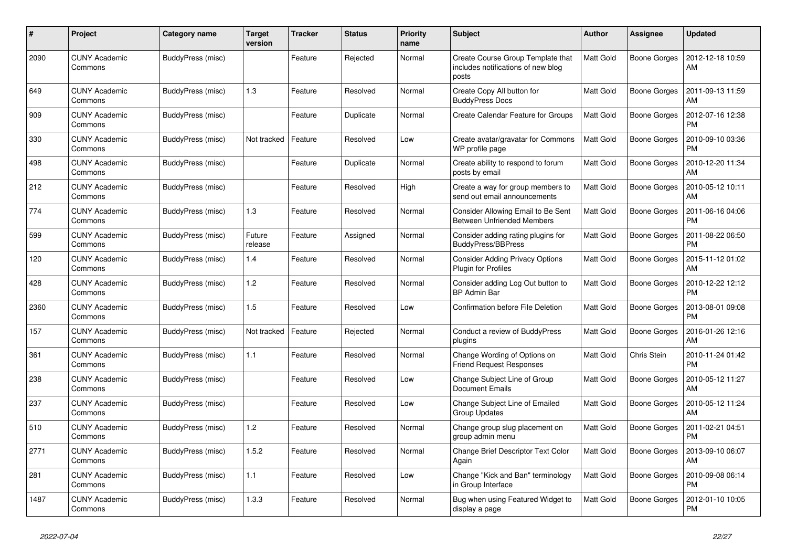| #    | Project                         | Category name     | Target<br>version | <b>Tracker</b> | <b>Status</b> | <b>Priority</b><br>name | <b>Subject</b>                                                                   | <b>Author</b>    | Assignee            | <b>Updated</b>                |
|------|---------------------------------|-------------------|-------------------|----------------|---------------|-------------------------|----------------------------------------------------------------------------------|------------------|---------------------|-------------------------------|
| 2090 | <b>CUNY Academic</b><br>Commons | BuddyPress (misc) |                   | Feature        | Rejected      | Normal                  | Create Course Group Template that<br>includes notifications of new blog<br>posts | <b>Matt Gold</b> | <b>Boone Gorges</b> | 2012-12-18 10:59<br>AM        |
| 649  | <b>CUNY Academic</b><br>Commons | BuddyPress (misc) | 1.3               | Feature        | Resolved      | Normal                  | Create Copy All button for<br><b>BuddyPress Docs</b>                             | Matt Gold        | Boone Gorges        | 2011-09-13 11:59<br>AM        |
| 909  | <b>CUNY Academic</b><br>Commons | BuddyPress (misc) |                   | Feature        | Duplicate     | Normal                  | Create Calendar Feature for Groups                                               | <b>Matt Gold</b> | Boone Gorges        | 2012-07-16 12:38<br><b>PM</b> |
| 330  | <b>CUNY Academic</b><br>Commons | BuddyPress (misc) | Not tracked       | Feature        | Resolved      | Low                     | Create avatar/gravatar for Commons<br>WP profile page                            | <b>Matt Gold</b> | <b>Boone Gorges</b> | 2010-09-10 03:36<br><b>PM</b> |
| 498  | <b>CUNY Academic</b><br>Commons | BuddyPress (misc) |                   | Feature        | Duplicate     | Normal                  | Create ability to respond to forum<br>posts by email                             | <b>Matt Gold</b> | Boone Gorges        | 2010-12-20 11:34<br>AM        |
| 212  | <b>CUNY Academic</b><br>Commons | BuddyPress (misc) |                   | Feature        | Resolved      | High                    | Create a way for group members to<br>send out email announcements                | Matt Gold        | Boone Gorges        | 2010-05-12 10:11<br>AM        |
| 774  | <b>CUNY Academic</b><br>Commons | BuddyPress (misc) | 1.3               | Feature        | Resolved      | Normal                  | Consider Allowing Email to Be Sent<br><b>Between Unfriended Members</b>          | <b>Matt Gold</b> | <b>Boone Gorges</b> | 2011-06-16 04:06<br><b>PM</b> |
| 599  | <b>CUNY Academic</b><br>Commons | BuddyPress (misc) | Future<br>release | Feature        | Assigned      | Normal                  | Consider adding rating plugins for<br><b>BuddyPress/BBPress</b>                  | <b>Matt Gold</b> | Boone Gorges        | 2011-08-22 06:50<br><b>PM</b> |
| 120  | <b>CUNY Academic</b><br>Commons | BuddyPress (misc) | 1.4               | Feature        | Resolved      | Normal                  | <b>Consider Adding Privacy Options</b><br><b>Plugin for Profiles</b>             | <b>Matt Gold</b> | <b>Boone Gorges</b> | 2015-11-12 01:02<br>AM        |
| 428  | <b>CUNY Academic</b><br>Commons | BuddyPress (misc) | 1.2               | Feature        | Resolved      | Normal                  | Consider adding Log Out button to<br><b>BP Admin Bar</b>                         | Matt Gold        | <b>Boone Gorges</b> | 2010-12-22 12:12<br><b>PM</b> |
| 2360 | <b>CUNY Academic</b><br>Commons | BuddyPress (misc) | 1.5               | Feature        | Resolved      | Low                     | <b>Confirmation before File Deletion</b>                                         | Matt Gold        | Boone Gorges        | 2013-08-01 09:08<br><b>PM</b> |
| 157  | <b>CUNY Academic</b><br>Commons | BuddyPress (misc) | Not tracked       | Feature        | Rejected      | Normal                  | Conduct a review of BuddyPress<br>plugins                                        | <b>Matt Gold</b> | <b>Boone Gorges</b> | 2016-01-26 12:16<br>AM        |
| 361  | <b>CUNY Academic</b><br>Commons | BuddyPress (misc) | 1.1               | Feature        | Resolved      | Normal                  | Change Wording of Options on<br><b>Friend Request Responses</b>                  | <b>Matt Gold</b> | Chris Stein         | 2010-11-24 01:42<br><b>PM</b> |
| 238  | CUNY Academic<br>Commons        | BuddyPress (misc) |                   | Feature        | Resolved      | Low                     | Change Subject Line of Group<br><b>Document Emails</b>                           | Matt Gold        | Boone Gorges        | 2010-05-12 11:27<br>AM        |
| 237  | <b>CUNY Academic</b><br>Commons | BuddyPress (misc) |                   | Feature        | Resolved      | Low                     | Change Subject Line of Emailed<br>Group Updates                                  | <b>Matt Gold</b> | <b>Boone Gorges</b> | 2010-05-12 11:24<br>AM        |
| 510  | <b>CUNY Academic</b><br>Commons | BuddyPress (misc) | 1.2               | Feature        | Resolved      | Normal                  | Change group slug placement on<br>group admin menu                               | <b>Matt Gold</b> | <b>Boone Gorges</b> | 2011-02-21 04:51<br><b>PM</b> |
| 2771 | <b>CUNY Academic</b><br>Commons | BuddyPress (misc) | 1.5.2             | Feature        | Resolved      | Normal                  | Change Brief Descriptor Text Color<br>Again                                      | <b>Matt Gold</b> | Boone Gorges        | 2013-09-10 06:07<br>AM        |
| 281  | <b>CUNY Academic</b><br>Commons | BuddyPress (misc) | 1.1               | Feature        | Resolved      | Low                     | Change "Kick and Ban" terminology<br>in Group Interface                          | Matt Gold        | Boone Gorges        | 2010-09-08 06:14<br><b>PM</b> |
| 1487 | <b>CUNY Academic</b><br>Commons | BuddyPress (misc) | 1.3.3             | Feature        | Resolved      | Normal                  | Bug when using Featured Widget to<br>display a page                              | Matt Gold        | Boone Gorges        | 2012-01-10 10:05<br><b>PM</b> |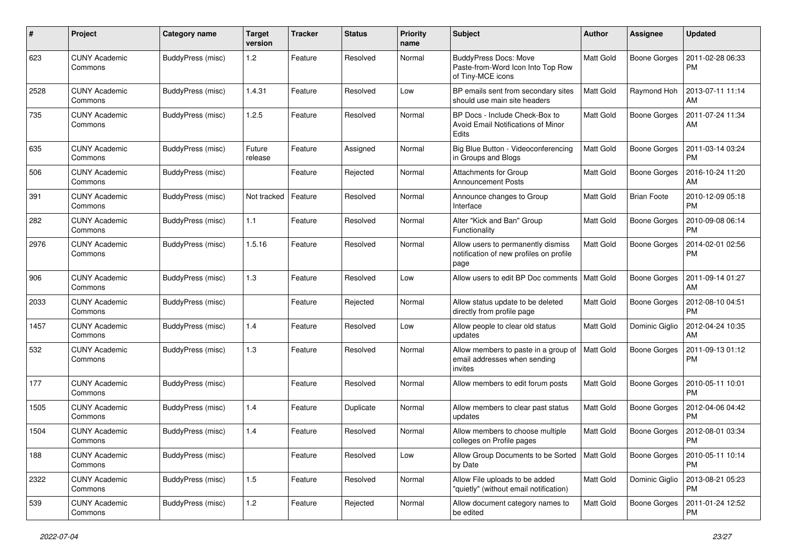| #    | Project                         | <b>Category name</b>     | <b>Target</b><br>version | <b>Tracker</b> | <b>Status</b> | <b>Priority</b><br>name | Subject                                                                                | Author           | <b>Assignee</b>     | <b>Updated</b>                |
|------|---------------------------------|--------------------------|--------------------------|----------------|---------------|-------------------------|----------------------------------------------------------------------------------------|------------------|---------------------|-------------------------------|
| 623  | <b>CUNY Academic</b><br>Commons | BuddyPress (misc)        | 1.2                      | Feature        | Resolved      | Normal                  | <b>BuddyPress Docs: Move</b><br>Paste-from-Word Icon Into Top Row<br>of Tiny-MCE icons | Matt Gold        | <b>Boone Gorges</b> | 2011-02-28 06:33<br><b>PM</b> |
| 2528 | <b>CUNY Academic</b><br>Commons | BuddyPress (misc)        | 1.4.31                   | Feature        | Resolved      | Low                     | BP emails sent from secondary sites<br>should use main site headers                    | Matt Gold        | Raymond Hoh         | 2013-07-11 11:14<br>AM        |
| 735  | <b>CUNY Academic</b><br>Commons | BuddyPress (misc)        | 1.2.5                    | Feature        | Resolved      | Normal                  | BP Docs - Include Check-Box to<br>Avoid Email Notifications of Minor<br>Edits          | Matt Gold        | <b>Boone Gorges</b> | 2011-07-24 11:34<br>AM        |
| 635  | <b>CUNY Academic</b><br>Commons | BuddyPress (misc)        | Future<br>release        | Feature        | Assigned      | Normal                  | Big Blue Button - Videoconferencing<br>in Groups and Blogs                             | Matt Gold        | <b>Boone Gorges</b> | 2011-03-14 03:24<br><b>PM</b> |
| 506  | <b>CUNY Academic</b><br>Commons | BuddyPress (misc)        |                          | Feature        | Rejected      | Normal                  | <b>Attachments for Group</b><br><b>Announcement Posts</b>                              | Matt Gold        | <b>Boone Gorges</b> | 2016-10-24 11:20<br>AM        |
| 391  | <b>CUNY Academic</b><br>Commons | BuddyPress (misc)        | Not tracked              | Feature        | Resolved      | Normal                  | Announce changes to Group<br>Interface                                                 | Matt Gold        | <b>Brian Foote</b>  | 2010-12-09 05:18<br><b>PM</b> |
| 282  | <b>CUNY Academic</b><br>Commons | BuddyPress (misc)        | 1.1                      | Feature        | Resolved      | Normal                  | Alter "Kick and Ban" Group<br>Functionality                                            | Matt Gold        | <b>Boone Gorges</b> | 2010-09-08 06:14<br><b>PM</b> |
| 2976 | <b>CUNY Academic</b><br>Commons | BuddyPress (misc)        | 1.5.16                   | Feature        | Resolved      | Normal                  | Allow users to permanently dismiss<br>notification of new profiles on profile<br>page  | Matt Gold        | <b>Boone Gorges</b> | 2014-02-01 02:56<br><b>PM</b> |
| 906  | <b>CUNY Academic</b><br>Commons | BuddyPress (misc)        | 1.3                      | Feature        | Resolved      | Low                     | Allow users to edit BP Doc comments                                                    | <b>Matt Gold</b> | <b>Boone Gorges</b> | 2011-09-14 01:27<br>AM        |
| 2033 | <b>CUNY Academic</b><br>Commons | BuddyPress (misc)        |                          | Feature        | Rejected      | Normal                  | Allow status update to be deleted<br>directly from profile page                        | Matt Gold        | <b>Boone Gorges</b> | 2012-08-10 04:51<br><b>PM</b> |
| 1457 | <b>CUNY Academic</b><br>Commons | BuddyPress (misc)        | 1.4                      | Feature        | Resolved      | Low                     | Allow people to clear old status<br>updates                                            | Matt Gold        | Dominic Giglio      | 2012-04-24 10:35<br>AM        |
| 532  | <b>CUNY Academic</b><br>Commons | BuddyPress (misc)        | 1.3                      | Feature        | Resolved      | Normal                  | Allow members to paste in a group of<br>email addresses when sending<br>invites        | <b>Matt Gold</b> | <b>Boone Gorges</b> | 2011-09-13 01:12<br><b>PM</b> |
| 177  | <b>CUNY Academic</b><br>Commons | <b>BuddyPress (misc)</b> |                          | Feature        | Resolved      | Normal                  | Allow members to edit forum posts                                                      | Matt Gold        | <b>Boone Gorges</b> | 2010-05-11 10:01<br><b>PM</b> |
| 1505 | <b>CUNY Academic</b><br>Commons | BuddyPress (misc)        | 1.4                      | Feature        | Duplicate     | Normal                  | Allow members to clear past status<br>updates                                          | Matt Gold        | <b>Boone Gorges</b> | 2012-04-06 04:42<br><b>PM</b> |
| 1504 | CUNY Academic<br>Commons        | BuddyPress (misc)        | 1.4                      | Feature        | Resolved      | Normal                  | Allow members to choose multiple<br>colleges on Profile pages                          | Matt Gold        | <b>Boone Gorges</b> | 2012-08-01 03:34<br><b>PM</b> |
| 188  | <b>CUNY Academic</b><br>Commons | BuddyPress (misc)        |                          | Feature        | Resolved      | Low                     | Allow Group Documents to be Sorted<br>by Date                                          | Matt Gold        | Boone Gorges        | 2010-05-11 10:14<br>PM.       |
| 2322 | <b>CUNY Academic</b><br>Commons | BuddyPress (misc)        | 1.5                      | Feature        | Resolved      | Normal                  | Allow File uploads to be added<br>"quietly" (without email notification)               | Matt Gold        | Dominic Giglio      | 2013-08-21 05:23<br><b>PM</b> |
| 539  | <b>CUNY Academic</b><br>Commons | BuddyPress (misc)        | 1.2                      | Feature        | Rejected      | Normal                  | Allow document category names to<br>be edited                                          | Matt Gold        | <b>Boone Gorges</b> | 2011-01-24 12:52<br><b>PM</b> |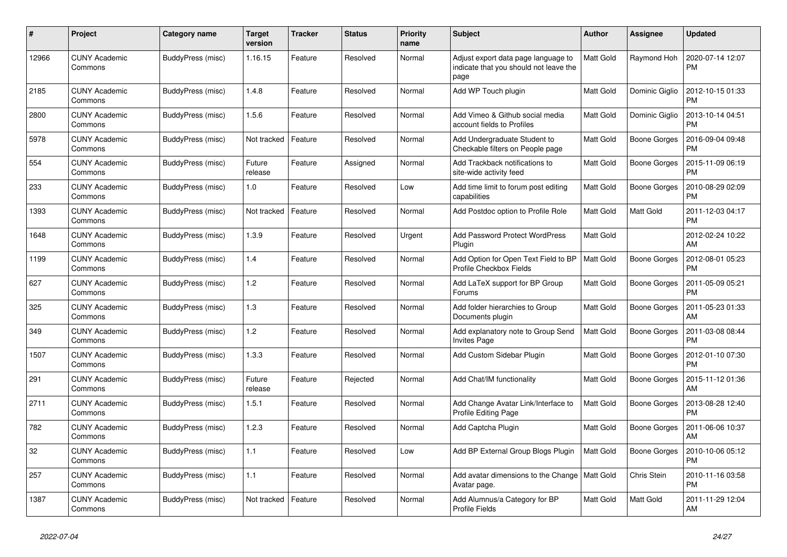| #     | Project                         | Category name     | Target<br>version | <b>Tracker</b> | <b>Status</b> | <b>Priority</b><br>name | <b>Subject</b>                                                                        | <b>Author</b>    | Assignee            | <b>Updated</b>                |
|-------|---------------------------------|-------------------|-------------------|----------------|---------------|-------------------------|---------------------------------------------------------------------------------------|------------------|---------------------|-------------------------------|
| 12966 | <b>CUNY Academic</b><br>Commons | BuddyPress (misc) | 1.16.15           | Feature        | Resolved      | Normal                  | Adjust export data page language to<br>indicate that you should not leave the<br>page | <b>Matt Gold</b> | Raymond Hoh         | 2020-07-14 12:07<br><b>PM</b> |
| 2185  | <b>CUNY Academic</b><br>Commons | BuddyPress (misc) | 1.4.8             | Feature        | Resolved      | Normal                  | Add WP Touch plugin                                                                   | <b>Matt Gold</b> | Dominic Giglio      | 2012-10-15 01:33<br><b>PM</b> |
| 2800  | <b>CUNY Academic</b><br>Commons | BuddyPress (misc) | 1.5.6             | Feature        | Resolved      | Normal                  | Add Vimeo & Github social media<br>account fields to Profiles                         | Matt Gold        | Dominic Giglio      | 2013-10-14 04:51<br><b>PM</b> |
| 5978  | <b>CUNY Academic</b><br>Commons | BuddyPress (misc) | Not tracked       | Feature        | Resolved      | Normal                  | Add Undergraduate Student to<br>Checkable filters on People page                      | <b>Matt Gold</b> | <b>Boone Gorges</b> | 2016-09-04 09:48<br><b>PM</b> |
| 554   | <b>CUNY Academic</b><br>Commons | BuddyPress (misc) | Future<br>release | Feature        | Assigned      | Normal                  | Add Trackback notifications to<br>site-wide activity feed                             | <b>Matt Gold</b> | Boone Gorges        | 2015-11-09 06:19<br><b>PM</b> |
| 233   | <b>CUNY Academic</b><br>Commons | BuddyPress (misc) | 1.0               | Feature        | Resolved      | Low                     | Add time limit to forum post editing<br>capabilities                                  | <b>Matt Gold</b> | Boone Gorges        | 2010-08-29 02:09<br><b>PM</b> |
| 1393  | <b>CUNY Academic</b><br>Commons | BuddyPress (misc) | Not tracked       | Feature        | Resolved      | Normal                  | Add Postdoc option to Profile Role                                                    | Matt Gold        | <b>Matt Gold</b>    | 2011-12-03 04:17<br><b>PM</b> |
| 1648  | <b>CUNY Academic</b><br>Commons | BuddyPress (misc) | 1.3.9             | Feature        | Resolved      | Urgent                  | <b>Add Password Protect WordPress</b><br>Plugin                                       | Matt Gold        |                     | 2012-02-24 10:22<br>AM        |
| 1199  | <b>CUNY Academic</b><br>Commons | BuddyPress (misc) | 1.4               | Feature        | Resolved      | Normal                  | Add Option for Open Text Field to BP<br>Profile Checkbox Fields                       | <b>Matt Gold</b> | <b>Boone Gorges</b> | 2012-08-01 05:23<br><b>PM</b> |
| 627   | <b>CUNY Academic</b><br>Commons | BuddyPress (misc) | 1.2               | Feature        | Resolved      | Normal                  | Add LaTeX support for BP Group<br>Forums                                              | <b>Matt Gold</b> | Boone Gorges        | 2011-05-09 05:21<br><b>PM</b> |
| 325   | CUNY Academic<br>Commons        | BuddyPress (misc) | 1.3               | Feature        | Resolved      | Normal                  | Add folder hierarchies to Group<br>Documents plugin                                   | <b>Matt Gold</b> | Boone Gorges        | 2011-05-23 01:33<br>AM        |
| 349   | <b>CUNY Academic</b><br>Commons | BuddyPress (misc) | 1.2               | Feature        | Resolved      | Normal                  | Add explanatory note to Group Send<br><b>Invites Page</b>                             | Matt Gold        | <b>Boone Gorges</b> | 2011-03-08 08:44<br><b>PM</b> |
| 1507  | <b>CUNY Academic</b><br>Commons | BuddyPress (misc) | 1.3.3             | Feature        | Resolved      | Normal                  | Add Custom Sidebar Plugin                                                             | <b>Matt Gold</b> | Boone Gorges        | 2012-01-10 07:30<br><b>PM</b> |
| 291   | <b>CUNY Academic</b><br>Commons | BuddyPress (misc) | Future<br>release | Feature        | Rejected      | Normal                  | Add Chat/IM functionality                                                             | <b>Matt Gold</b> | Boone Gorges        | 2015-11-12 01:36<br>AM        |
| 2711  | <b>CUNY Academic</b><br>Commons | BuddyPress (misc) | 1.5.1             | Feature        | Resolved      | Normal                  | Add Change Avatar Link/Interface to<br><b>Profile Editing Page</b>                    | Matt Gold        | <b>Boone Gorges</b> | 2013-08-28 12:40<br>PM        |
| 782   | <b>CUNY Academic</b><br>Commons | BuddyPress (misc) | 1.2.3             | Feature        | Resolved      | Normal                  | Add Captcha Plugin                                                                    | <b>Matt Gold</b> | <b>Boone Gorges</b> | 2011-06-06 10:37<br>AM        |
| 32    | <b>CUNY Academic</b><br>Commons | BuddyPress (misc) | 1.1               | Feature        | Resolved      | Low                     | Add BP External Group Blogs Plugin                                                    | <b>Matt Gold</b> | Boone Gorges        | 2010-10-06 05:12<br><b>PM</b> |
| 257   | <b>CUNY Academic</b><br>Commons | BuddyPress (misc) | 1.1               | Feature        | Resolved      | Normal                  | Add avatar dimensions to the Change<br>Avatar page.                                   | <b>Matt Gold</b> | Chris Stein         | 2010-11-16 03:58<br><b>PM</b> |
| 1387  | <b>CUNY Academic</b><br>Commons | BuddyPress (misc) | Not tracked       | Feature        | Resolved      | Normal                  | Add Alumnus/a Category for BP<br><b>Profile Fields</b>                                | <b>Matt Gold</b> | <b>Matt Gold</b>    | 2011-11-29 12:04<br>AM        |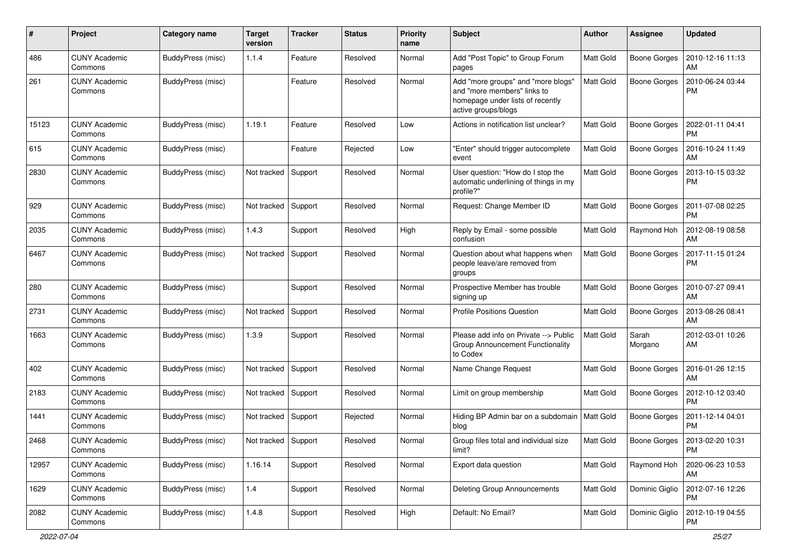| $\#$  | Project                         | <b>Category name</b> | <b>Target</b><br>version | <b>Tracker</b> | <b>Status</b> | <b>Priority</b><br>name | Subject                                                                                                                      | <b>Author</b>    | Assignee            | <b>Updated</b>                |
|-------|---------------------------------|----------------------|--------------------------|----------------|---------------|-------------------------|------------------------------------------------------------------------------------------------------------------------------|------------------|---------------------|-------------------------------|
| 486   | <b>CUNY Academic</b><br>Commons | BuddyPress (misc)    | 1.1.4                    | Feature        | Resolved      | Normal                  | Add "Post Topic" to Group Forum<br>pages                                                                                     | Matt Gold        | <b>Boone Gorges</b> | 2010-12-16 11:13<br>AM        |
| 261   | <b>CUNY Academic</b><br>Commons | BuddyPress (misc)    |                          | Feature        | Resolved      | Normal                  | Add "more groups" and "more blogs"<br>and "more members" links to<br>homepage under lists of recently<br>active groups/blogs | Matt Gold        | <b>Boone Gorges</b> | 2010-06-24 03:44<br><b>PM</b> |
| 15123 | <b>CUNY Academic</b><br>Commons | BuddyPress (misc)    | 1.19.1                   | Feature        | Resolved      | Low                     | Actions in notification list unclear?                                                                                        | Matt Gold        | <b>Boone Gorges</b> | 2022-01-11 04:41<br><b>PM</b> |
| 615   | <b>CUNY Academic</b><br>Commons | BuddyPress (misc)    |                          | Feature        | Rejected      | Low                     | "Enter" should trigger autocomplete<br>event                                                                                 | <b>Matt Gold</b> | Boone Gorges        | 2016-10-24 11:49<br>AM        |
| 2830  | <b>CUNY Academic</b><br>Commons | BuddyPress (misc)    | Not tracked              | Support        | Resolved      | Normal                  | User question: "How do I stop the<br>automatic underlining of things in my<br>profile?"                                      | Matt Gold        | <b>Boone Gorges</b> | 2013-10-15 03:32<br><b>PM</b> |
| 929   | <b>CUNY Academic</b><br>Commons | BuddyPress (misc)    | Not tracked              | Support        | Resolved      | Normal                  | Request: Change Member ID                                                                                                    | Matt Gold        | <b>Boone Gorges</b> | 2011-07-08 02:25<br><b>PM</b> |
| 2035  | CUNY Academic<br>Commons        | BuddyPress (misc)    | 1.4.3                    | Support        | Resolved      | High                    | Reply by Email - some possible<br>confusion                                                                                  | Matt Gold        | Raymond Hoh         | 2012-08-19 08:58<br>AM        |
| 6467  | <b>CUNY Academic</b><br>Commons | BuddyPress (misc)    | Not tracked              | Support        | Resolved      | Normal                  | Question about what happens when<br>people leave/are removed from<br>groups                                                  | <b>Matt Gold</b> | <b>Boone Gorges</b> | 2017-11-15 01:24<br><b>PM</b> |
| 280   | <b>CUNY Academic</b><br>Commons | BuddyPress (misc)    |                          | Support        | Resolved      | Normal                  | Prospective Member has trouble<br>signing up                                                                                 | Matt Gold        | <b>Boone Gorges</b> | 2010-07-27 09:41<br>AM        |
| 2731  | <b>CUNY Academic</b><br>Commons | BuddyPress (misc)    | Not tracked              | Support        | Resolved      | Normal                  | <b>Profile Positions Question</b>                                                                                            | <b>Matt Gold</b> | <b>Boone Gorges</b> | 2013-08-26 08:41<br>AM        |
| 1663  | <b>CUNY Academic</b><br>Commons | BuddyPress (misc)    | 1.3.9                    | Support        | Resolved      | Normal                  | Please add info on Private --> Public<br>Group Announcement Functionality<br>to Codex                                        | Matt Gold        | Sarah<br>Morgano    | 2012-03-01 10:26<br>AM        |
| 402   | <b>CUNY Academic</b><br>Commons | BuddyPress (misc)    | Not tracked              | Support        | Resolved      | Normal                  | Name Change Request                                                                                                          | Matt Gold        | Boone Gorges        | 2016-01-26 12:15<br>AM        |
| 2183  | <b>CUNY Academic</b><br>Commons | BuddyPress (misc)    | Not tracked              | Support        | Resolved      | Normal                  | Limit on group membership                                                                                                    | <b>Matt Gold</b> | Boone Gorges        | 2012-10-12 03:40<br><b>PM</b> |
| 1441  | <b>CUNY Academic</b><br>Commons | BuddyPress (misc)    | Not tracked              | Support        | Rejected      | Normal                  | Hiding BP Admin bar on a subdomain<br>blog                                                                                   | <b>Matt Gold</b> | <b>Boone Gorges</b> | 2011-12-14 04:01<br><b>PM</b> |
| 2468  | <b>CUNY Academic</b><br>Commons | BuddyPress (misc)    | Not tracked Support      |                | Resolved      | Normal                  | Group files total and individual size<br>limit?                                                                              | <b>Matt Gold</b> | <b>Boone Gorges</b> | 2013-02-20 10:31<br>PM        |
| 12957 | <b>CUNY Academic</b><br>Commons | BuddyPress (misc)    | 1.16.14                  | Support        | Resolved      | Normal                  | Export data question                                                                                                         | Matt Gold        | Raymond Hoh         | 2020-06-23 10:53<br>AM        |
| 1629  | <b>CUNY Academic</b><br>Commons | BuddyPress (misc)    | 1.4                      | Support        | Resolved      | Normal                  | Deleting Group Announcements                                                                                                 | Matt Gold        | Dominic Giglio      | 2012-07-16 12:26<br><b>PM</b> |
| 2082  | <b>CUNY Academic</b><br>Commons | BuddyPress (misc)    | 1.4.8                    | Support        | Resolved      | High                    | Default: No Email?                                                                                                           | Matt Gold        | Dominic Giglio      | 2012-10-19 04:55<br>PM        |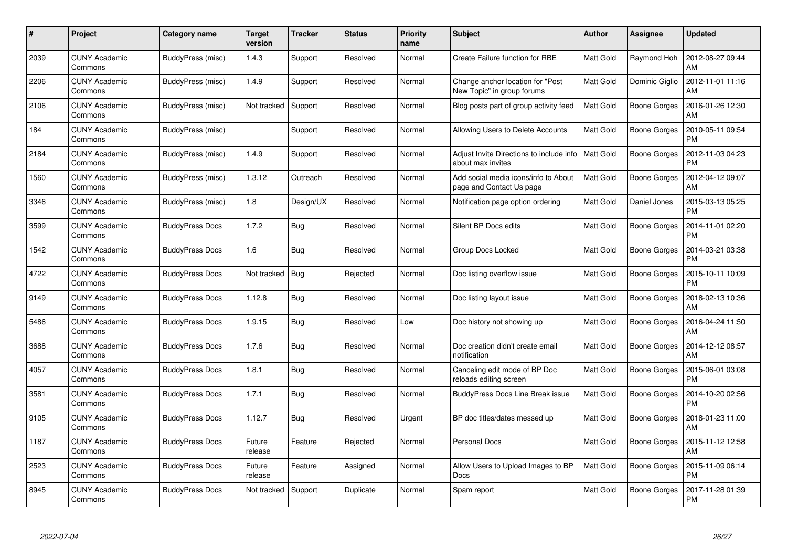| #    | Project                         | Category name          | <b>Target</b><br>version | <b>Tracker</b> | <b>Status</b> | <b>Priority</b><br>name | <b>Subject</b>                                                   | Author           | <b>Assignee</b>     | <b>Updated</b>                |
|------|---------------------------------|------------------------|--------------------------|----------------|---------------|-------------------------|------------------------------------------------------------------|------------------|---------------------|-------------------------------|
| 2039 | <b>CUNY Academic</b><br>Commons | BuddyPress (misc)      | 1.4.3                    | Support        | Resolved      | Normal                  | Create Failure function for RBE                                  | <b>Matt Gold</b> | Raymond Hoh         | 2012-08-27 09:44<br>AM        |
| 2206 | <b>CUNY Academic</b><br>Commons | BuddyPress (misc)      | 1.4.9                    | Support        | Resolved      | Normal                  | Change anchor location for "Post"<br>New Topic" in group forums  | Matt Gold        | Dominic Giglio      | 2012-11-01 11:16<br>AM        |
| 2106 | <b>CUNY Academic</b><br>Commons | BuddyPress (misc)      | Not tracked              | Support        | Resolved      | Normal                  | Blog posts part of group activity feed                           | <b>Matt Gold</b> | <b>Boone Gorges</b> | 2016-01-26 12:30<br>AM        |
| 184  | <b>CUNY Academic</b><br>Commons | BuddyPress (misc)      |                          | Support        | Resolved      | Normal                  | Allowing Users to Delete Accounts                                | Matt Gold        | Boone Gorges        | 2010-05-11 09:54<br><b>PM</b> |
| 2184 | <b>CUNY Academic</b><br>Commons | BuddyPress (misc)      | 1.4.9                    | Support        | Resolved      | Normal                  | Adjust Invite Directions to include info<br>about max invites    | Matt Gold        | Boone Gorges        | 2012-11-03 04:23<br><b>PM</b> |
| 1560 | <b>CUNY Academic</b><br>Commons | BuddyPress (misc)      | 1.3.12                   | Outreach       | Resolved      | Normal                  | Add social media icons/info to About<br>page and Contact Us page | Matt Gold        | Boone Gorges        | 2012-04-12 09:07<br>AM        |
| 3346 | <b>CUNY Academic</b><br>Commons | BuddyPress (misc)      | 1.8                      | Design/UX      | Resolved      | Normal                  | Notification page option ordering                                | Matt Gold        | Daniel Jones        | 2015-03-13 05:25<br><b>PM</b> |
| 3599 | <b>CUNY Academic</b><br>Commons | <b>BuddyPress Docs</b> | 1.7.2                    | <b>Bug</b>     | Resolved      | Normal                  | Silent BP Docs edits                                             | <b>Matt Gold</b> | <b>Boone Gorges</b> | 2014-11-01 02:20<br>PM        |
| 1542 | <b>CUNY Academic</b><br>Commons | <b>BuddyPress Docs</b> | 1.6                      | <b>Bug</b>     | Resolved      | Normal                  | Group Docs Locked                                                | <b>Matt Gold</b> | Boone Gorges        | 2014-03-21 03:38<br><b>PM</b> |
| 4722 | <b>CUNY Academic</b><br>Commons | <b>BuddyPress Docs</b> | Not tracked              | Bug            | Rejected      | Normal                  | Doc listing overflow issue                                       | <b>Matt Gold</b> | Boone Gorges        | 2015-10-11 10:09<br>PM        |
| 9149 | <b>CUNY Academic</b><br>Commons | <b>BuddyPress Docs</b> | 1.12.8                   | <b>Bug</b>     | Resolved      | Normal                  | Doc listing layout issue                                         | <b>Matt Gold</b> | Boone Gorges        | 2018-02-13 10:36<br>AM        |
| 5486 | <b>CUNY Academic</b><br>Commons | <b>BuddyPress Docs</b> | 1.9.15                   | Bug            | Resolved      | Low                     | Doc history not showing up                                       | <b>Matt Gold</b> | Boone Gorges        | 2016-04-24 11:50<br>AM        |
| 3688 | CUNY Academic<br>Commons        | <b>BuddyPress Docs</b> | 1.7.6                    | Bug            | Resolved      | Normal                  | Doc creation didn't create email<br>notification                 | Matt Gold        | Boone Gorges        | 2014-12-12 08:57<br>AM        |
| 4057 | <b>CUNY Academic</b><br>Commons | <b>BuddyPress Docs</b> | 1.8.1                    | Bug            | Resolved      | Normal                  | Canceling edit mode of BP Doc<br>reloads editing screen          | Matt Gold        | <b>Boone Gorges</b> | 2015-06-01 03:08<br><b>PM</b> |
| 3581 | <b>CUNY Academic</b><br>Commons | <b>BuddyPress Docs</b> | 1.7.1                    | <b>Bug</b>     | Resolved      | Normal                  | BuddyPress Docs Line Break issue                                 | <b>Matt Gold</b> | Boone Gorges        | 2014-10-20 02:56<br><b>PM</b> |
| 9105 | <b>CUNY Academic</b><br>Commons | <b>BuddyPress Docs</b> | 1.12.7                   | Bug            | Resolved      | Urgent                  | BP doc titles/dates messed up                                    | <b>Matt Gold</b> | Boone Gorges        | 2018-01-23 11:00<br>AM        |
| 1187 | <b>CUNY Academic</b><br>Commons | <b>BuddyPress Docs</b> | Future<br>release        | Feature        | Rejected      | Normal                  | Personal Docs                                                    | Matt Gold        | Boone Gorges        | 2015-11-12 12:58<br>AM        |
| 2523 | <b>CUNY Academic</b><br>Commons | <b>BuddyPress Docs</b> | Future<br>release        | Feature        | Assigned      | Normal                  | Allow Users to Upload Images to BP<br>Docs                       | <b>Matt Gold</b> | Boone Gorges        | 2015-11-09 06:14<br><b>PM</b> |
| 8945 | <b>CUNY Academic</b><br>Commons | <b>BuddyPress Docs</b> | Not tracked              | Support        | Duplicate     | Normal                  | Spam report                                                      | <b>Matt Gold</b> | Boone Gorges        | 2017-11-28 01:39<br><b>PM</b> |